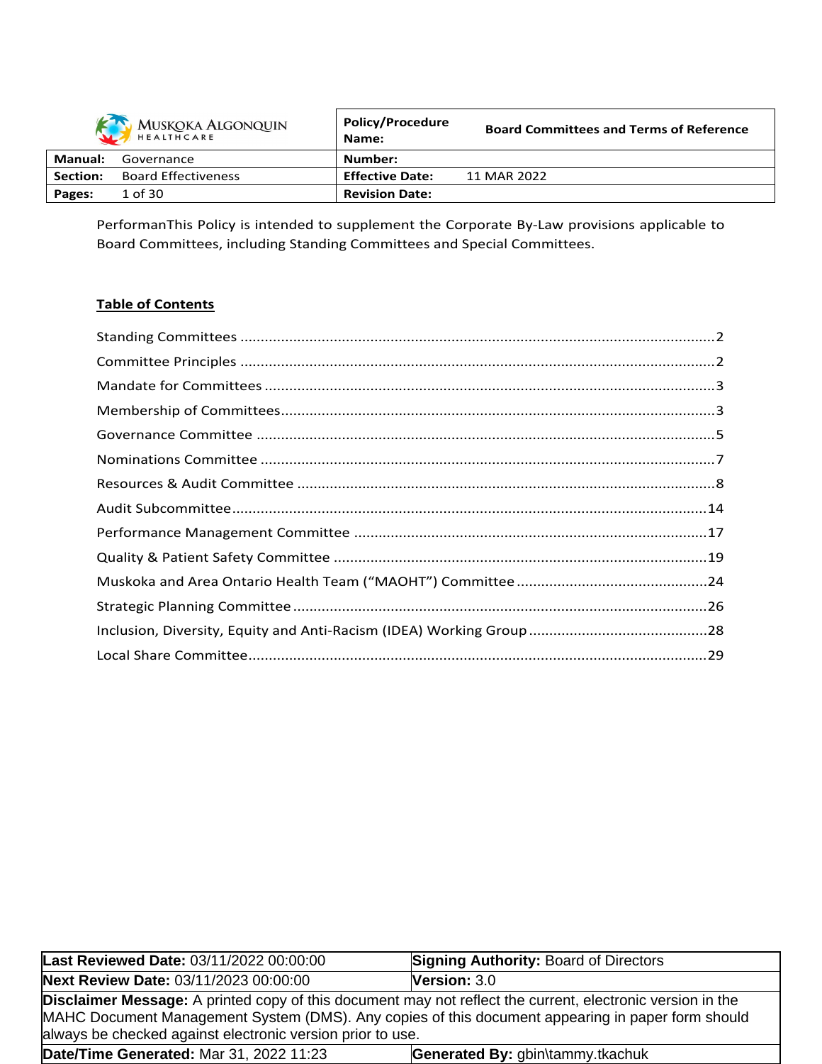| MUSKOKA ALGONQUIN |                            | <b>Policy/Procedure</b><br>Name: | <b>Board Committees and Terms of Reference</b> |
|-------------------|----------------------------|----------------------------------|------------------------------------------------|
| Manual:           | Governance                 | Number:                          |                                                |
| <b>Section:</b>   | <b>Board Effectiveness</b> | <b>Effective Date:</b>           | 11 MAR 2022                                    |
| Pages:            | 1 of 30                    | <b>Revision Date:</b>            |                                                |

PerformanThis Policy is intended to supplement the Corporate By-Law provisions applicable to Board Committees, including Standing Committees and Special Committees.

# **Table of Contents**

| Last Reviewed Date: 03/11/2022 00:00:00                    | <b>Signing Authority: Board of Directors</b>                                                                                                                                                                           |  |  |  |  |
|------------------------------------------------------------|------------------------------------------------------------------------------------------------------------------------------------------------------------------------------------------------------------------------|--|--|--|--|
| Next Review Date: 03/11/2023 00:00:00                      | <b>Version: <math>3.0</math></b>                                                                                                                                                                                       |  |  |  |  |
| always be checked against electronic version prior to use. | <b>Disclaimer Message:</b> A printed copy of this document may not reflect the current, electronic version in the<br>MAHC Document Management System (DMS). Any copies of this document appearing in paper form should |  |  |  |  |
| Date/Time Generated: Mar 31, 2022 11:23                    | Generated By: gbin\tammy.tkachuk                                                                                                                                                                                       |  |  |  |  |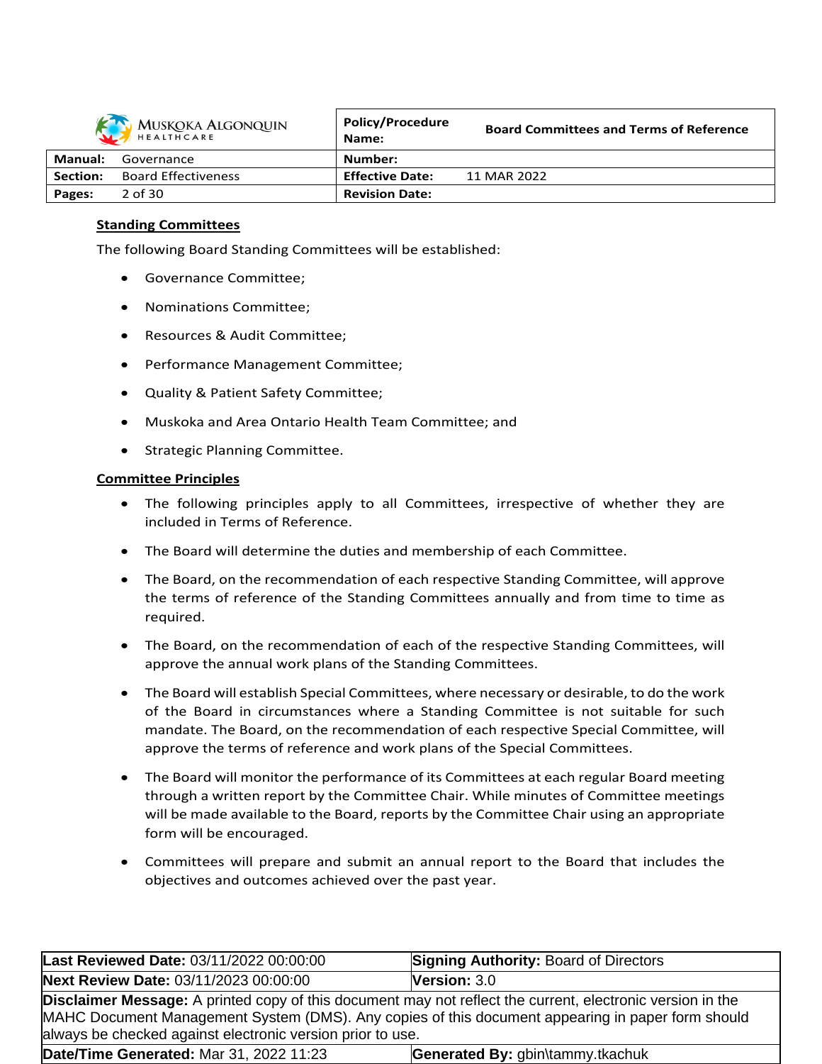

| MUSKOKA ALGONQUIN |                            | <b>Policy/Procedure</b><br>Name: | <b>Board Committees and Terms of Reference</b> |
|-------------------|----------------------------|----------------------------------|------------------------------------------------|
| <b>Manual:</b>    | Governance                 | Number:                          |                                                |
| <b>Section:</b>   | <b>Board Effectiveness</b> | <b>Effective Date:</b>           | 11 MAR 2022                                    |
| Pages:            | 2 of 30                    | <b>Revision Date:</b>            |                                                |

# **Standing Committees**

The following Board Standing Committees will be established:

- Governance Committee;
- Nominations Committee;
- Resources & Audit Committee;
- Performance Management Committee;
- Quality & Patient Safety Committee;
- Muskoka and Area Ontario Health Team Committee; and
- Strategic Planning Committee.

### **Committee Principles**

- The following principles apply to all Committees, irrespective of whether they are included in Terms of Reference.
- The Board will determine the duties and membership of each Committee.
- The Board, on the recommendation of each respective Standing Committee, will approve the terms of reference of the Standing Committees annually and from time to time as required.
- The Board, on the recommendation of each of the respective Standing Committees, will approve the annual work plans of the Standing Committees.
- The Board will establish Special Committees, where necessary or desirable, to do the work of the Board in circumstances where a Standing Committee is not suitable for such mandate. The Board, on the recommendation of each respective Special Committee, will approve the terms of reference and work plans of the Special Committees.
- The Board will monitor the performance of its Committees at each regular Board meeting through a written report by the Committee Chair. While minutes of Committee meetings will be made available to the Board, reports by the Committee Chair using an appropriate form will be encouraged.
- Committees will prepare and submit an annual report to the Board that includes the objectives and outcomes achieved over the past year.

| Last Reviewed Date: 03/11/2022 00:00:00                                     | <b>Signing Authority: Board of Directors</b>                                                                                                                                                                           |  |  |  |  |
|-----------------------------------------------------------------------------|------------------------------------------------------------------------------------------------------------------------------------------------------------------------------------------------------------------------|--|--|--|--|
| Next Review Date: 03/11/2023 00:00:00                                       | <b>Version: 3.0</b>                                                                                                                                                                                                    |  |  |  |  |
| always be checked against electronic version prior to use.                  | <b>Disclaimer Message:</b> A printed copy of this document may not reflect the current, electronic version in the<br>MAHC Document Management System (DMS). Any copies of this document appearing in paper form should |  |  |  |  |
| Date/Time Generated: Mar 31, 2022 11:23<br>Generated By: gbin\tammy.tkachuk |                                                                                                                                                                                                                        |  |  |  |  |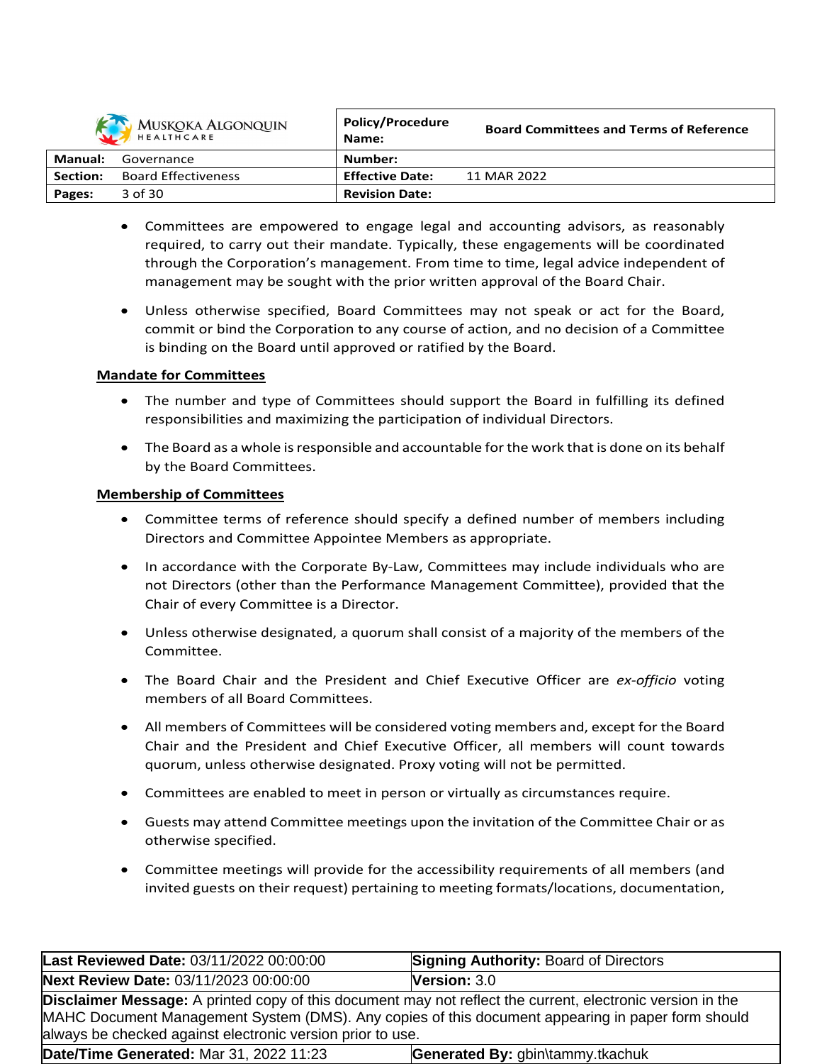| MUSKOKA ALGONQUIN |                            | <b>Policy/Procedure</b><br>Name: | <b>Board Committees and Terms of Reference</b> |
|-------------------|----------------------------|----------------------------------|------------------------------------------------|
| Manual:           | Governance                 | Number:                          |                                                |
| Section:          | <b>Board Effectiveness</b> | <b>Effective Date:</b>           | 11 MAR 2022                                    |
| Pages:            | 3 of 30                    | <b>Revision Date:</b>            |                                                |

- Committees are empowered to engage legal and accounting advisors, as reasonably required, to carry out their mandate. Typically, these engagements will be coordinated through the Corporation's management. From time to time, legal advice independent of management may be sought with the prior written approval of the Board Chair.
- Unless otherwise specified, Board Committees may not speak or act for the Board, commit or bind the Corporation to any course of action, and no decision of a Committee is binding on the Board until approved or ratified by the Board.

# **Mandate for Committees**

- The number and type of Committees should support the Board in fulfilling its defined responsibilities and maximizing the participation of individual Directors.
- The Board as a whole is responsible and accountable for the work that is done on its behalf by the Board Committees.

# **Membership of Committees**

- Committee terms of reference should specify a defined number of members including Directors and Committee Appointee Members as appropriate.
- In accordance with the Corporate By-Law, Committees may include individuals who are not Directors (other than the Performance Management Committee), provided that the Chair of every Committee is a Director.
- Unless otherwise designated, a quorum shall consist of a majority of the members of the Committee.
- The Board Chair and the President and Chief Executive Officer are *ex-officio* voting members of all Board Committees.
- All members of Committees will be considered voting members and, except for the Board Chair and the President and Chief Executive Officer, all members will count towards quorum, unless otherwise designated. Proxy voting will not be permitted.
- Committees are enabled to meet in person or virtually as circumstances require.
- Guests may attend Committee meetings upon the invitation of the Committee Chair or as otherwise specified.
- Committee meetings will provide for the accessibility requirements of all members (and invited guests on their request) pertaining to meeting formats/locations, documentation,

| Last Reviewed Date: 03/11/2022 00:00:00                                                                                                                                                                                                                                              | <b>Signing Authority: Board of Directors</b> |  |  |  |
|--------------------------------------------------------------------------------------------------------------------------------------------------------------------------------------------------------------------------------------------------------------------------------------|----------------------------------------------|--|--|--|
| Next Review Date: 03/11/2023 00:00:00                                                                                                                                                                                                                                                | Version: 3.0                                 |  |  |  |
| <b>Disclaimer Message:</b> A printed copy of this document may not reflect the current, electronic version in the<br>MAHC Document Management System (DMS). Any copies of this document appearing in paper form should<br>always be checked against electronic version prior to use. |                                              |  |  |  |
| Date/Time Generated: Mar 31, 2022 11:23<br>Generated By: gbin\tammy.tkachuk                                                                                                                                                                                                          |                                              |  |  |  |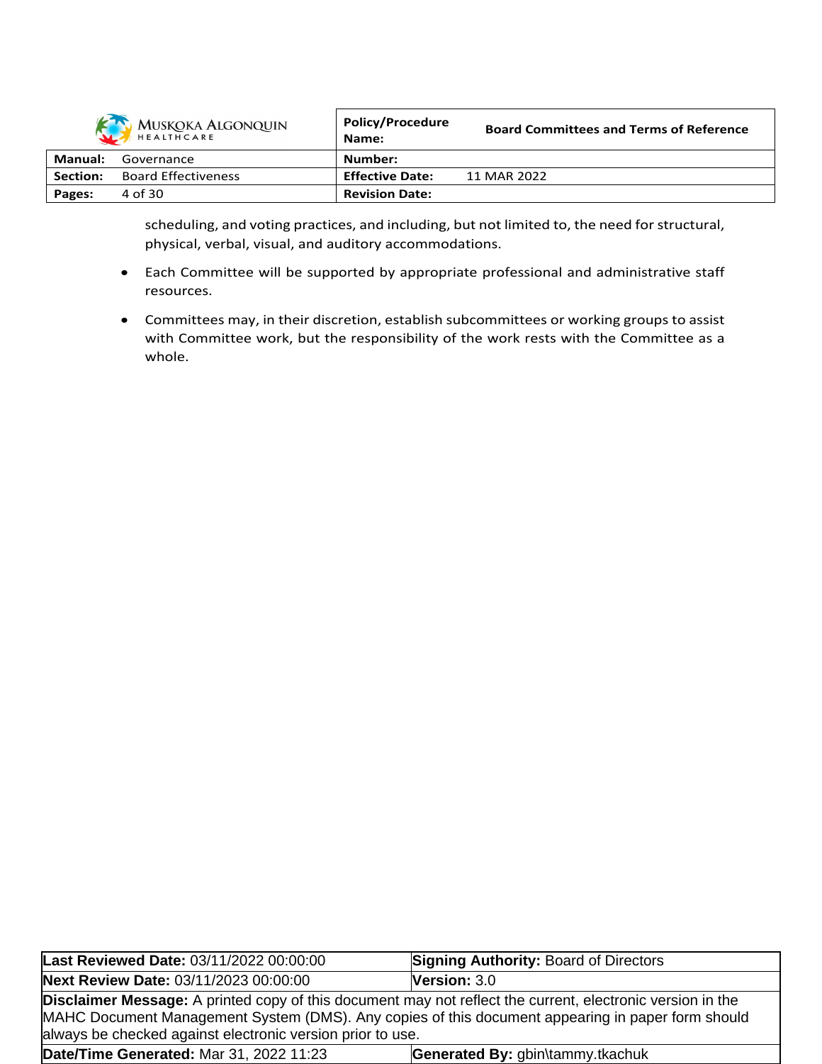| MUSKOKA ALGONQUIN |                            | <b>Policy/Procedure</b><br>Name: | <b>Board Committees and Terms of Reference</b> |
|-------------------|----------------------------|----------------------------------|------------------------------------------------|
| Manual:           | Governance                 | Number:                          |                                                |
| Section:          | <b>Board Effectiveness</b> | <b>Effective Date:</b>           | 11 MAR 2022                                    |
| Pages:            | 4 of 30                    | <b>Revision Date:</b>            |                                                |
|                   |                            |                                  |                                                |

scheduling, and voting practices, and including, but not limited to, the need for structural, physical, verbal, visual, and auditory accommodations.

- Each Committee will be supported by appropriate professional and administrative staff resources.
- Committees may, in their discretion, establish subcommittees or working groups to assist with Committee work, but the responsibility of the work rests with the Committee as a whole.

| Last Reviewed Date: 03/11/2022 00:00:00                                                                                                                                                                                                                                       | <b>Signing Authority: Board of Directors</b> |  |  |  |
|-------------------------------------------------------------------------------------------------------------------------------------------------------------------------------------------------------------------------------------------------------------------------------|----------------------------------------------|--|--|--|
| Next Review Date: 03/11/2023 00:00:00                                                                                                                                                                                                                                         | Version: 3.0                                 |  |  |  |
| Disclaimer Message: A printed copy of this document may not reflect the current, electronic version in the<br>MAHC Document Management System (DMS). Any copies of this document appearing in paper form should<br>always be checked against electronic version prior to use. |                                              |  |  |  |
| Date/Time Generated: Mar 31, 2022 11:23<br>Generated By: gbin\tammy.tkachuk                                                                                                                                                                                                   |                                              |  |  |  |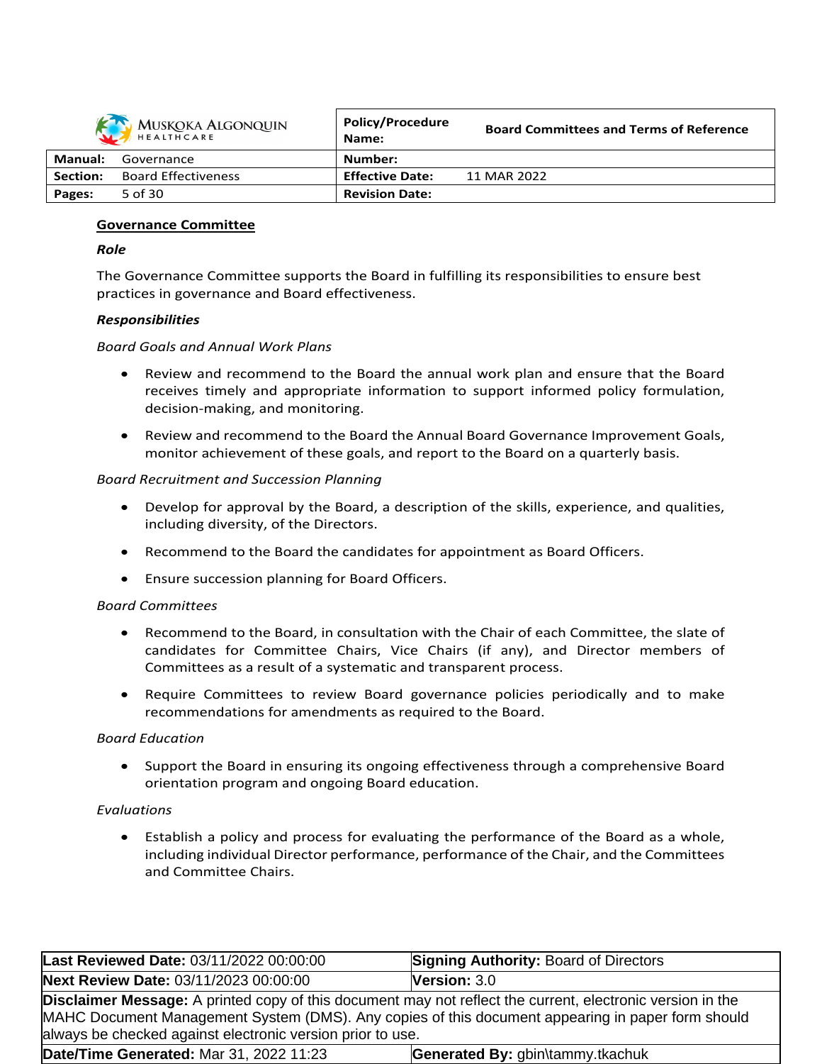

| MUSKOKA ALGONQUIN<br>HEALTHCARE |                            | POIICV/Procedure<br>Name: | <b>Board Committees and Terms of Reference</b> |
|---------------------------------|----------------------------|---------------------------|------------------------------------------------|
| Manual:                         | Governance                 | Number:                   |                                                |
| Section:                        | <b>Board Effectiveness</b> | <b>Effective Date:</b>    | 11 MAR 2022                                    |
| Pages:                          | 5 of 30                    | <b>Revision Date:</b>     |                                                |

### **Governance Committee**

### *Role*

The Governance Committee supports the Board in fulfilling its responsibilities to ensure best practices in governance and Board effectiveness.

## *Responsibilities*

## *Board Goals and Annual Work Plans*

- Review and recommend to the Board the annual work plan and ensure that the Board receives timely and appropriate information to support informed policy formulation, decision-making, and monitoring.
- Review and recommend to the Board the Annual Board Governance Improvement Goals, monitor achievement of these goals, and report to the Board on a quarterly basis.

## *Board Recruitment and Succession Planning*

- Develop for approval by the Board, a description of the skills, experience, and qualities, including diversity, of the Directors.
- Recommend to the Board the candidates for appointment as Board Officers.
- Ensure succession planning for Board Officers.

### *Board Committees*

- Recommend to the Board, in consultation with the Chair of each Committee, the slate of candidates for Committee Chairs, Vice Chairs (if any), and Director members of Committees as a result of a systematic and transparent process.
- Require Committees to review Board governance policies periodically and to make recommendations for amendments as required to the Board.

### *Board Education*

• Support the Board in ensuring its ongoing effectiveness through a comprehensive Board orientation program and ongoing Board education.

### *Evaluations*

 Establish a policy and process for evaluating the performance of the Board as a whole, including individual Director performance, performance of the Chair, and the Committees and Committee Chairs.

| Last Reviewed Date: 03/11/2022 00:00:00                                                                                                                                                                                                                                              | <b>Signing Authority: Board of Directors</b> |  |  |  |
|--------------------------------------------------------------------------------------------------------------------------------------------------------------------------------------------------------------------------------------------------------------------------------------|----------------------------------------------|--|--|--|
| Next Review Date: 03/11/2023 00:00:00                                                                                                                                                                                                                                                | <b>Version: 3.0</b>                          |  |  |  |
| <b>Disclaimer Message:</b> A printed copy of this document may not reflect the current, electronic version in the<br>MAHC Document Management System (DMS). Any copies of this document appearing in paper form should<br>always be checked against electronic version prior to use. |                                              |  |  |  |
| Date/Time Generated: Mar 31, 2022 11:23                                                                                                                                                                                                                                              | Generated By: gbin\tammy.tkachuk             |  |  |  |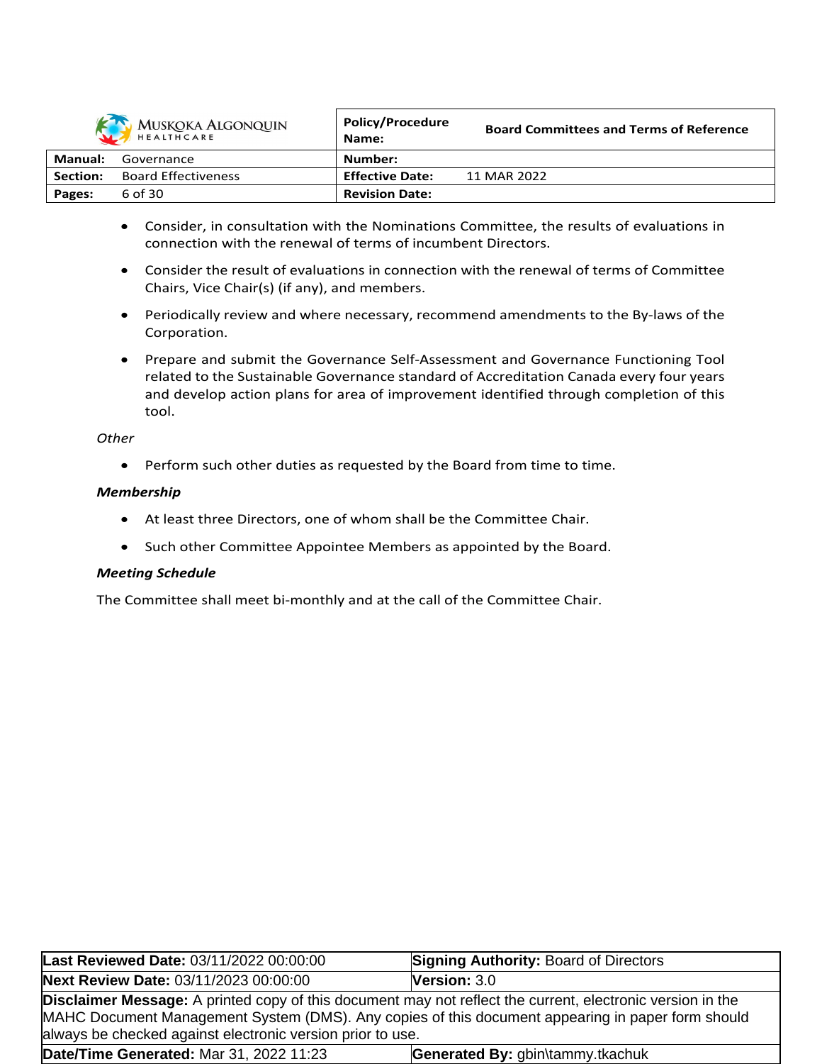

| MUSKOKA ALGONQUIN<br>HEALTHCARE |                            | <b>POIICV/Procedure</b><br>Name: | <b>Board Committees and Terms of Reference</b> |
|---------------------------------|----------------------------|----------------------------------|------------------------------------------------|
| Manual:                         | Governance                 | Number:                          |                                                |
| Section:                        | <b>Board Effectiveness</b> | <b>Effective Date:</b>           | 11 MAR 2022                                    |
| Pages:                          | 6 of 30                    | <b>Revision Date:</b>            |                                                |

- Consider, in consultation with the Nominations Committee, the results of evaluations in connection with the renewal of terms of incumbent Directors.
- Consider the result of evaluations in connection with the renewal of terms of Committee Chairs, Vice Chair(s) (if any), and members.
- Periodically review and where necessary, recommend amendments to the By-laws of the Corporation.
- Prepare and submit the Governance Self-Assessment and Governance Functioning Tool related to the Sustainable Governance standard of Accreditation Canada every four years and develop action plans for area of improvement identified through completion of this tool.

## *Other*

Perform such other duties as requested by the Board from time to time.

# *Membership*

- At least three Directors, one of whom shall be the Committee Chair.
- Such other Committee Appointee Members as appointed by the Board.

# *Meeting Schedule*

The Committee shall meet bi-monthly and at the call of the Committee Chair.

| Last Reviewed Date: 03/11/2022 00:00:00                                                                                                                                                                                                                                              | <b>Signing Authority: Board of Directors</b> |  |
|--------------------------------------------------------------------------------------------------------------------------------------------------------------------------------------------------------------------------------------------------------------------------------------|----------------------------------------------|--|
| Next Review Date: 03/11/2023 00:00:00                                                                                                                                                                                                                                                | <b>Version: 3.0</b>                          |  |
| <b>Disclaimer Message:</b> A printed copy of this document may not reflect the current, electronic version in the<br>MAHC Document Management System (DMS). Any copies of this document appearing in paper form should<br>always be checked against electronic version prior to use. |                                              |  |
| Date/Time Generated: Mar 31, 2022 11:23                                                                                                                                                                                                                                              | Generated By: gbin\tammy.tkachuk             |  |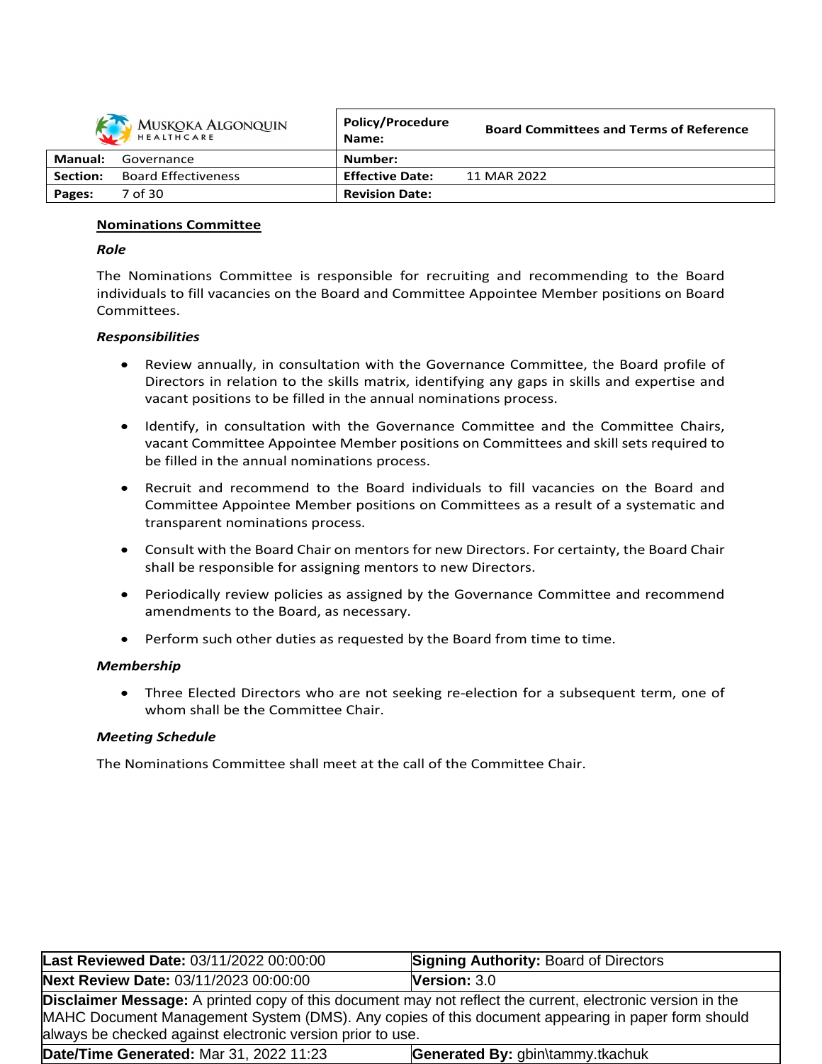

|                | HEALTHCARE                 | Name:                  | <u>buaru Committees and Terms of Neierence</u> |
|----------------|----------------------------|------------------------|------------------------------------------------|
| <b>Manual:</b> | Governance                 | Number:                |                                                |
| Section:       | <b>Board Effectiveness</b> | <b>Effective Date:</b> | 11 MAR 2022                                    |
| Pages:         | 7 of 30                    | <b>Revision Date:</b>  |                                                |

**Board Committees and Terms of Reference**

**Policy/Procedure**

## **Nominations Committee**

### *Role*

The Nominations Committee is responsible for recruiting and recommending to the Board individuals to fill vacancies on the Board and Committee Appointee Member positions on Board Committees.

## *Responsibilities*

- Review annually, in consultation with the Governance Committee, the Board profile of Directors in relation to the skills matrix, identifying any gaps in skills and expertise and vacant positions to be filled in the annual nominations process.
- Identify, in consultation with the Governance Committee and the Committee Chairs, vacant Committee Appointee Member positions on Committees and skill sets required to be filled in the annual nominations process.
- Recruit and recommend to the Board individuals to fill vacancies on the Board and Committee Appointee Member positions on Committees as a result of a systematic and transparent nominations process.
- Consult with the Board Chair on mentors for new Directors. For certainty, the Board Chair shall be responsible for assigning mentors to new Directors.
- Periodically review policies as assigned by the Governance Committee and recommend amendments to the Board, as necessary.
- Perform such other duties as requested by the Board from time to time.

### *Membership*

 Three Elected Directors who are not seeking re-election for a subsequent term, one of whom shall be the Committee Chair.

# *Meeting Schedule*

The Nominations Committee shall meet at the call of the Committee Chair.

| <b>Last Reviewed Date: 03/11/2022 00:00:00</b>                                                                                                                                                                                                                                       | <b>Signing Authority: Board of Directors</b> |  |
|--------------------------------------------------------------------------------------------------------------------------------------------------------------------------------------------------------------------------------------------------------------------------------------|----------------------------------------------|--|
| Next Review Date: 03/11/2023 00:00:00                                                                                                                                                                                                                                                | <b>Version:</b> $3.0$                        |  |
| <b>Disclaimer Message:</b> A printed copy of this document may not reflect the current, electronic version in the<br>MAHC Document Management System (DMS). Any copies of this document appearing in paper form should<br>always be checked against electronic version prior to use. |                                              |  |
| Date/Time Generated: Mar 31, 2022 11:23                                                                                                                                                                                                                                              | Generated By: gbin\tammy.tkachuk             |  |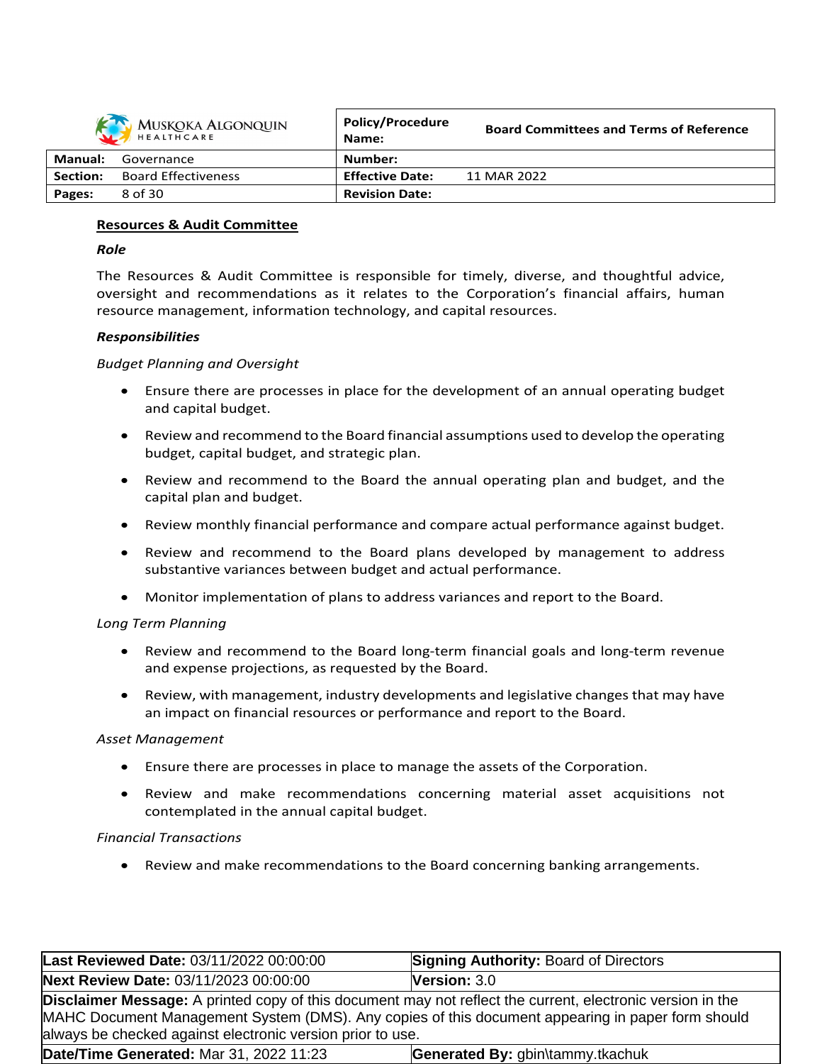|                | MUSKOKA ALGONQUIN          | <b>Policy/Procedure</b><br>Name: | <b>Board Committees and Terms of Reference</b> |
|----------------|----------------------------|----------------------------------|------------------------------------------------|
| <b>Manual:</b> | Governance                 | Number:                          |                                                |
| Section:       | <b>Board Effectiveness</b> | <b>Effective Date:</b>           | 11 MAR 2022                                    |
| Pages:         | 8 of 30                    | <b>Revision Date:</b>            |                                                |
|                |                            |                                  |                                                |

# **Resources & Audit Committee**

# *Role*

The Resources & Audit Committee is responsible for timely, diverse, and thoughtful advice, oversight and recommendations as it relates to the Corporation's financial affairs, human resource management, information technology, and capital resources.

## *Responsibilities*

## *Budget Planning and Oversight*

- Ensure there are processes in place for the development of an annual operating budget and capital budget.
- Review and recommend to the Board financial assumptions used to develop the operating budget, capital budget, and strategic plan.
- Review and recommend to the Board the annual operating plan and budget, and the capital plan and budget.
- Review monthly financial performance and compare actual performance against budget.
- Review and recommend to the Board plans developed by management to address substantive variances between budget and actual performance.
- Monitor implementation of plans to address variances and report to the Board.

# *Long Term Planning*

- Review and recommend to the Board long-term financial goals and long-term revenue and expense projections, as requested by the Board.
- Review, with management, industry developments and legislative changes that may have an impact on financial resources or performance and report to the Board.

### *Asset Management*

- Ensure there are processes in place to manage the assets of the Corporation.
- Review and make recommendations concerning material asset acquisitions not contemplated in the annual capital budget.

### *Financial Transactions*

Review and make recommendations to the Board concerning banking arrangements.

| Last Reviewed Date: 03/11/2022 00:00:00                                                                                                                                                                                                                                              | <b>Signing Authority: Board of Directors</b> |  |
|--------------------------------------------------------------------------------------------------------------------------------------------------------------------------------------------------------------------------------------------------------------------------------------|----------------------------------------------|--|
| Next Review Date: 03/11/2023 00:00:00                                                                                                                                                                                                                                                | <b>Version: <math>3.0</math></b>             |  |
| <b>Disclaimer Message:</b> A printed copy of this document may not reflect the current, electronic version in the<br>MAHC Document Management System (DMS). Any copies of this document appearing in paper form should<br>always be checked against electronic version prior to use. |                                              |  |
| Date/Time Generated: Mar 31, 2022 11:23                                                                                                                                                                                                                                              | Generated By: gbin\tammy.tkachuk             |  |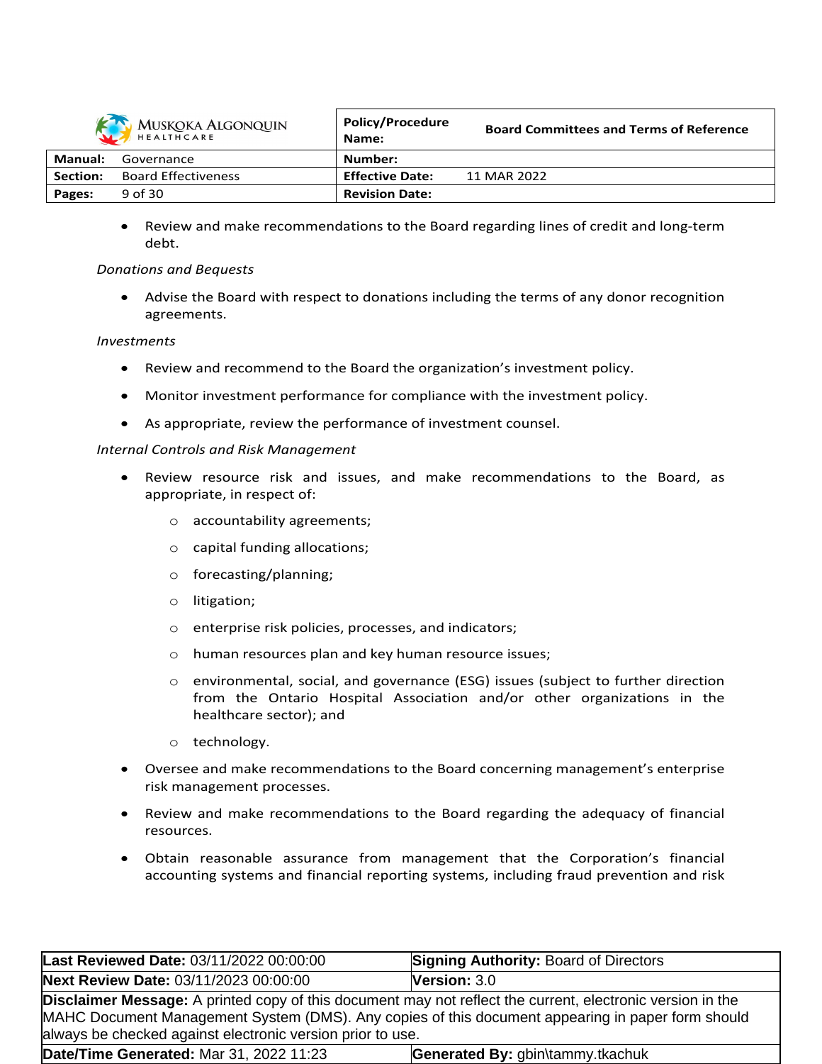

|          | MUSKOKA ALGONQUIN          | <b>Policy/Procedure</b><br>Name: | <b>Board Committees and Terms of Reference</b> |
|----------|----------------------------|----------------------------------|------------------------------------------------|
| Manual:  | Governance                 | Number:                          |                                                |
| Section: | <b>Board Effectiveness</b> | <b>Effective Date:</b>           | 11 MAR 2022                                    |
| Pages:   | 9 of 30                    | <b>Revision Date:</b>            |                                                |

 Review and make recommendations to the Board regarding lines of credit and long-term debt.

## *Donations and Bequests*

 Advise the Board with respect to donations including the terms of any donor recognition agreements.

## *Investments*

- Review and recommend to the Board the organization's investment policy.
- Monitor investment performance for compliance with the investment policy.
- As appropriate, review the performance of investment counsel.

## *Internal Controls and Risk Management*

- Review resource risk and issues, and make recommendations to the Board, as appropriate, in respect of:
	- o accountability agreements;
	- o capital funding allocations;
	- o forecasting/planning;
	- o litigation;
	- o enterprise risk policies, processes, and indicators;
	- o human resources plan and key human resource issues;
	- o environmental, social, and governance (ESG) issues (subject to further direction from the Ontario Hospital Association and/or other organizations in the healthcare sector); and
	- o technology.
- Oversee and make recommendations to the Board concerning management's enterprise risk management processes.
- Review and make recommendations to the Board regarding the adequacy of financial resources.
- Obtain reasonable assurance from management that the Corporation's financial accounting systems and financial reporting systems, including fraud prevention and risk

| Last Reviewed Date: 03/11/2022 00:00:00                                                                                                                                                                                                                                              | <b>Signing Authority: Board of Directors</b> |  |
|--------------------------------------------------------------------------------------------------------------------------------------------------------------------------------------------------------------------------------------------------------------------------------------|----------------------------------------------|--|
| Next Review Date: 03/11/2023 00:00:00                                                                                                                                                                                                                                                | <b>Version: <math>3.0</math></b>             |  |
| <b>Disclaimer Message:</b> A printed copy of this document may not reflect the current, electronic version in the<br>MAHC Document Management System (DMS). Any copies of this document appearing in paper form should<br>always be checked against electronic version prior to use. |                                              |  |
| Date/Time Generated: Mar 31, 2022 11:23                                                                                                                                                                                                                                              | Generated By: gbin\tammy.tkachuk             |  |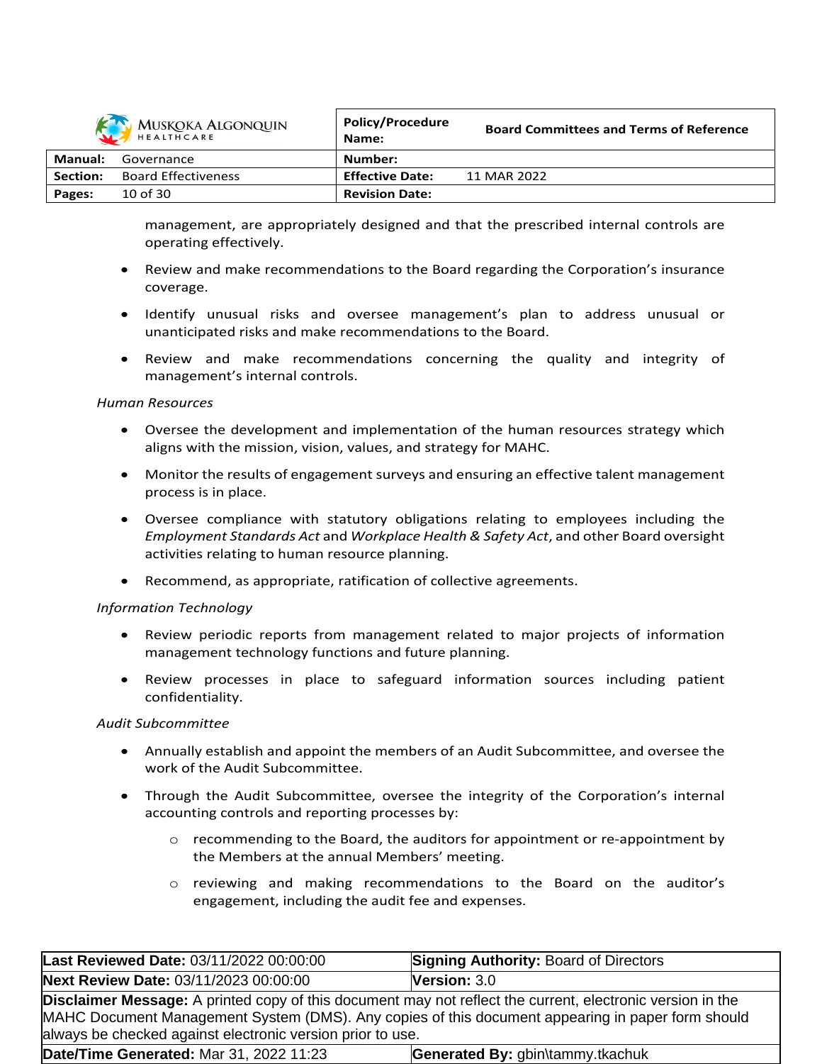

|          | MUSKOKA ALGONQUIN<br>HEALTHCARE | <b>POIICY/Procedure</b><br>Name: | <b>Board Committees and Terms of Reference</b> |
|----------|---------------------------------|----------------------------------|------------------------------------------------|
| Manual:  | Governance                      | Number:                          |                                                |
| Section: | <b>Board Effectiveness</b>      | <b>Effective Date:</b>           | 11 MAR 2022                                    |
| Pages:   | 10 of 30                        | <b>Revision Date:</b>            |                                                |

management, are appropriately designed and that the prescribed internal controls are operating effectively.

- Review and make recommendations to the Board regarding the Corporation's insurance coverage.
- Identify unusual risks and oversee management's plan to address unusual or unanticipated risks and make recommendations to the Board.
- Review and make recommendations concerning the quality and integrity of management's internal controls.

### *Human Resources*

- Oversee the development and implementation of the human resources strategy which aligns with the mission, vision, values, and strategy for MAHC.
- Monitor the results of engagement surveys and ensuring an effective talent management process is in place.
- Oversee compliance with statutory obligations relating to employees including the *Employment Standards Act* and *Workplace Health & Safety Act*, and other Board oversight activities relating to human resource planning.
- Recommend, as appropriate, ratification of collective agreements.

### *Information Technology*

- Review periodic reports from management related to major projects of information management technology functions and future planning.
- Review processes in place to safeguard information sources including patient confidentiality.

### *Audit Subcommittee*

- Annually establish and appoint the members of an Audit Subcommittee, and oversee the work of the Audit Subcommittee.
- Through the Audit Subcommittee, oversee the integrity of the Corporation's internal accounting controls and reporting processes by:
	- $\circ$  recommending to the Board, the auditors for appointment or re-appointment by the Members at the annual Members' meeting.
	- $\circ$  reviewing and making recommendations to the Board on the auditor's engagement, including the audit fee and expenses.

| Last Reviewed Date: 03/11/2022 00:00:00                                                                                                                                                                                                                                              | <b>Signing Authority: Board of Directors</b> |  |
|--------------------------------------------------------------------------------------------------------------------------------------------------------------------------------------------------------------------------------------------------------------------------------------|----------------------------------------------|--|
| Next Review Date: 03/11/2023 00:00:00                                                                                                                                                                                                                                                | <b>Version: <math>3.0</math></b>             |  |
| <b>Disclaimer Message:</b> A printed copy of this document may not reflect the current, electronic version in the<br>MAHC Document Management System (DMS). Any copies of this document appearing in paper form should<br>always be checked against electronic version prior to use. |                                              |  |
| Date/Time Generated: Mar 31, 2022 11:23                                                                                                                                                                                                                                              | Generated By: gbin\tammy.tkachuk             |  |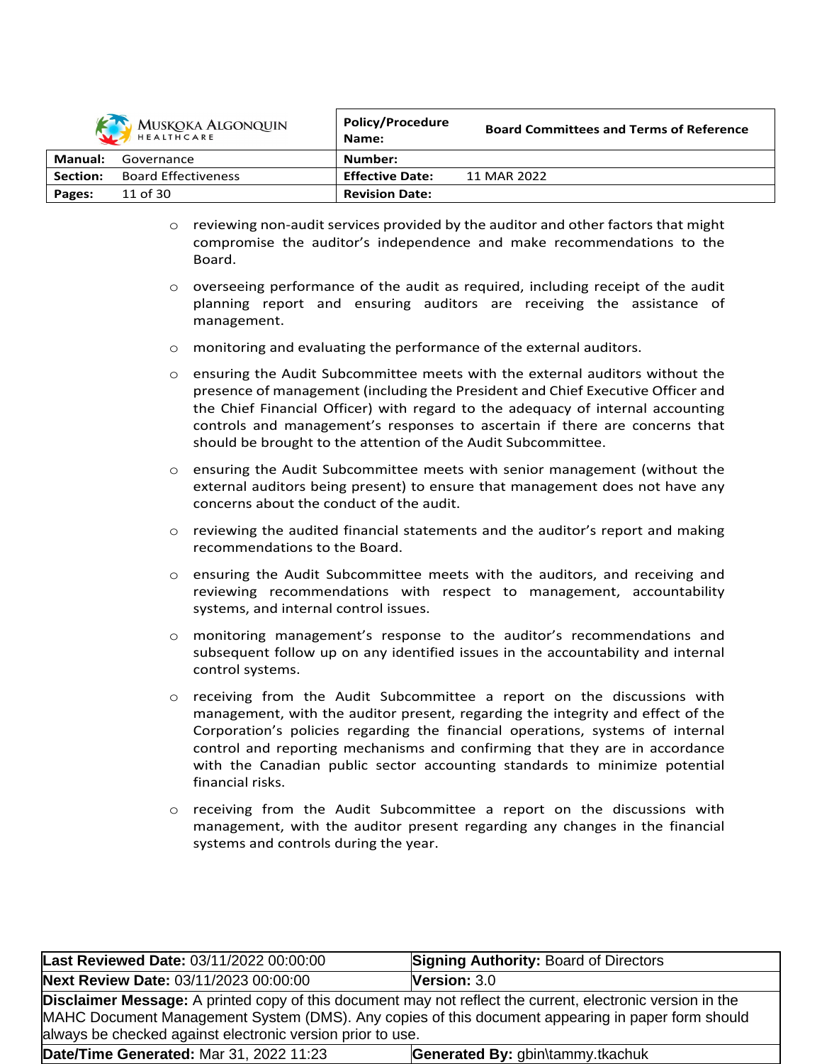

|          | MUSKOKA ALGONQUIN          | <b>Policy/Procedure</b><br>Name: | <b>Board Committees and Terms of Reference</b> |
|----------|----------------------------|----------------------------------|------------------------------------------------|
| Manual:  | Governance                 | Number:                          |                                                |
| Section: | <b>Board Effectiveness</b> | <b>Effective Date:</b>           | 11 MAR 2022                                    |
| Pages:   | 11 of 30                   | <b>Revision Date:</b>            |                                                |

- $\circ$  reviewing non-audit services provided by the auditor and other factors that might compromise the auditor's independence and make recommendations to the Board.
- $\circ$  overseeing performance of the audit as required, including receipt of the audit planning report and ensuring auditors are receiving the assistance of management.
- $\circ$  monitoring and evaluating the performance of the external auditors.
- o ensuring the Audit Subcommittee meets with the external auditors without the presence of management (including the President and Chief Executive Officer and the Chief Financial Officer) with regard to the adequacy of internal accounting controls and management's responses to ascertain if there are concerns that should be brought to the attention of the Audit Subcommittee.
- $\circ$  ensuring the Audit Subcommittee meets with senior management (without the external auditors being present) to ensure that management does not have any concerns about the conduct of the audit.
- o reviewing the audited financial statements and the auditor's report and making recommendations to the Board.
- $\circ$  ensuring the Audit Subcommittee meets with the auditors, and receiving and reviewing recommendations with respect to management, accountability systems, and internal control issues.
- o monitoring management's response to the auditor's recommendations and subsequent follow up on any identified issues in the accountability and internal control systems.
- $\circ$  receiving from the Audit Subcommittee a report on the discussions with management, with the auditor present, regarding the integrity and effect of the Corporation's policies regarding the financial operations, systems of internal control and reporting mechanisms and confirming that they are in accordance with the Canadian public sector accounting standards to minimize potential financial risks.
- o receiving from the Audit Subcommittee a report on the discussions with management, with the auditor present regarding any changes in the financial systems and controls during the year.

| Last Reviewed Date: 03/11/2022 00:00:00                                                                                                                                                                                                                                              | <b>Signing Authority: Board of Directors</b> |  |
|--------------------------------------------------------------------------------------------------------------------------------------------------------------------------------------------------------------------------------------------------------------------------------------|----------------------------------------------|--|
| Next Review Date: 03/11/2023 00:00:00                                                                                                                                                                                                                                                | <b>Version: <math>3.0</math></b>             |  |
| <b>Disclaimer Message:</b> A printed copy of this document may not reflect the current, electronic version in the<br>MAHC Document Management System (DMS). Any copies of this document appearing in paper form should<br>always be checked against electronic version prior to use. |                                              |  |
| Date/Time Generated: Mar 31, 2022 11:23                                                                                                                                                                                                                                              | Generated By: gbin\tammy.tkachuk             |  |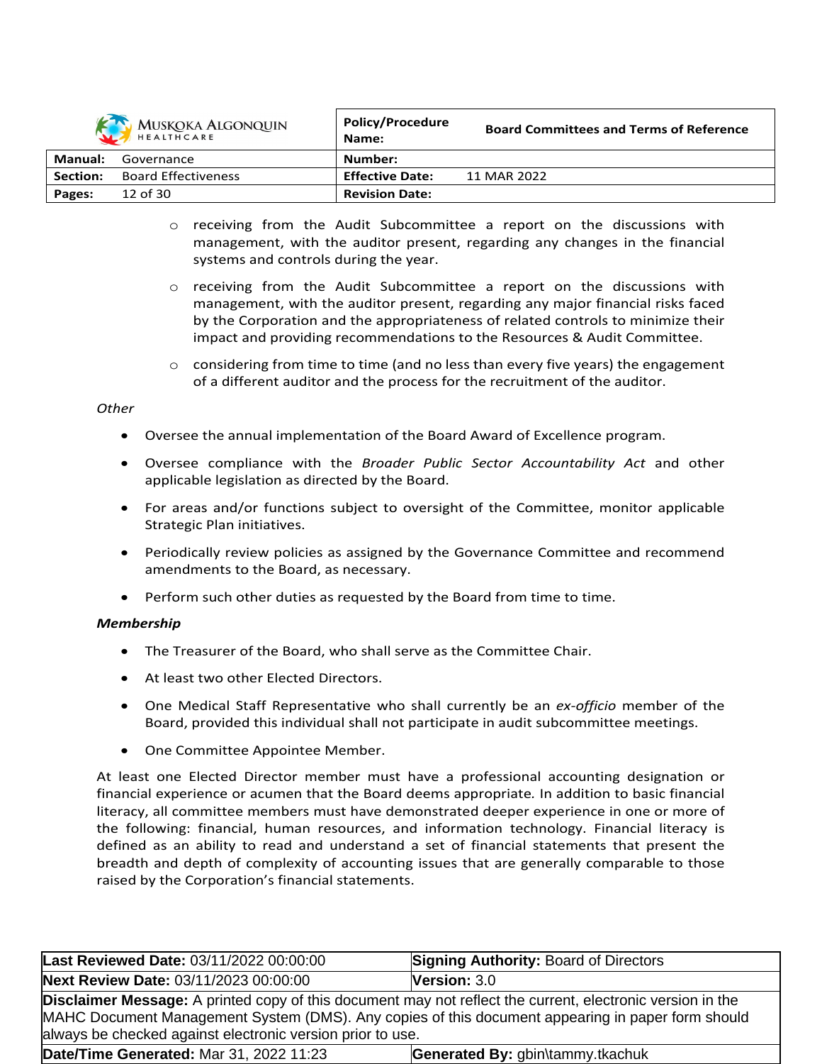|          | MUSKOKA ALGONQUIN          | <b>Policy/Procedure</b><br>Name: | <b>Board Committees and Terms of Reference</b> |
|----------|----------------------------|----------------------------------|------------------------------------------------|
| Manual:  | Governance                 | Number:                          |                                                |
| Section: | <b>Board Effectiveness</b> | <b>Effective Date:</b>           | 11 MAR 2022                                    |
| Pages:   | $12$ of $30$               | <b>Revision Date:</b>            |                                                |
|          |                            |                                  |                                                |

- o receiving from the Audit Subcommittee a report on the discussions with management, with the auditor present, regarding any changes in the financial systems and controls during the year.
- o receiving from the Audit Subcommittee a report on the discussions with management, with the auditor present, regarding any major financial risks faced by the Corporation and the appropriateness of related controls to minimize their impact and providing recommendations to the Resources & Audit Committee.
- $\circ$  considering from time to time (and no less than every five years) the engagement of a different auditor and the process for the recruitment of the auditor.

# *Other*

- Oversee the annual implementation of the Board Award of Excellence program.
- Oversee compliance with the *Broader Public Sector Accountability Act* and other applicable legislation as directed by the Board.
- For areas and/or functions subject to oversight of the Committee, monitor applicable Strategic Plan initiatives.
- Periodically review policies as assigned by the Governance Committee and recommend amendments to the Board, as necessary.
- Perform such other duties as requested by the Board from time to time.

# *Membership*

- The Treasurer of the Board, who shall serve as the Committee Chair.
- At least two other Elected Directors.
- One Medical Staff Representative who shall currently be an *ex-officio* member of the Board, provided this individual shall not participate in audit subcommittee meetings.
- One Committee Appointee Member.

At least one Elected Director member must have a professional accounting designation or financial experience or acumen that the Board deems appropriate*.* In addition to basic financial literacy, all committee members must have demonstrated deeper experience in one or more of the following: financial, human resources, and information technology. Financial literacy is defined as an ability to read and understand a set of financial statements that present the breadth and depth of complexity of accounting issues that are generally comparable to those raised by the Corporation's financial statements.

| Last Reviewed Date: 03/11/2022 00:00:00                                                                                                                                                                                                                                              | <b>Signing Authority: Board of Directors</b> |
|--------------------------------------------------------------------------------------------------------------------------------------------------------------------------------------------------------------------------------------------------------------------------------------|----------------------------------------------|
| Next Review Date: 03/11/2023 00:00:00                                                                                                                                                                                                                                                | <b>Version: <math>3.0</math></b>             |
| <b>Disclaimer Message:</b> A printed copy of this document may not reflect the current, electronic version in the<br>MAHC Document Management System (DMS). Any copies of this document appearing in paper form should<br>always be checked against electronic version prior to use. |                                              |
| Date/Time Generated: Mar 31, 2022 11:23                                                                                                                                                                                                                                              | Generated By: gbin\tammy.tkachuk             |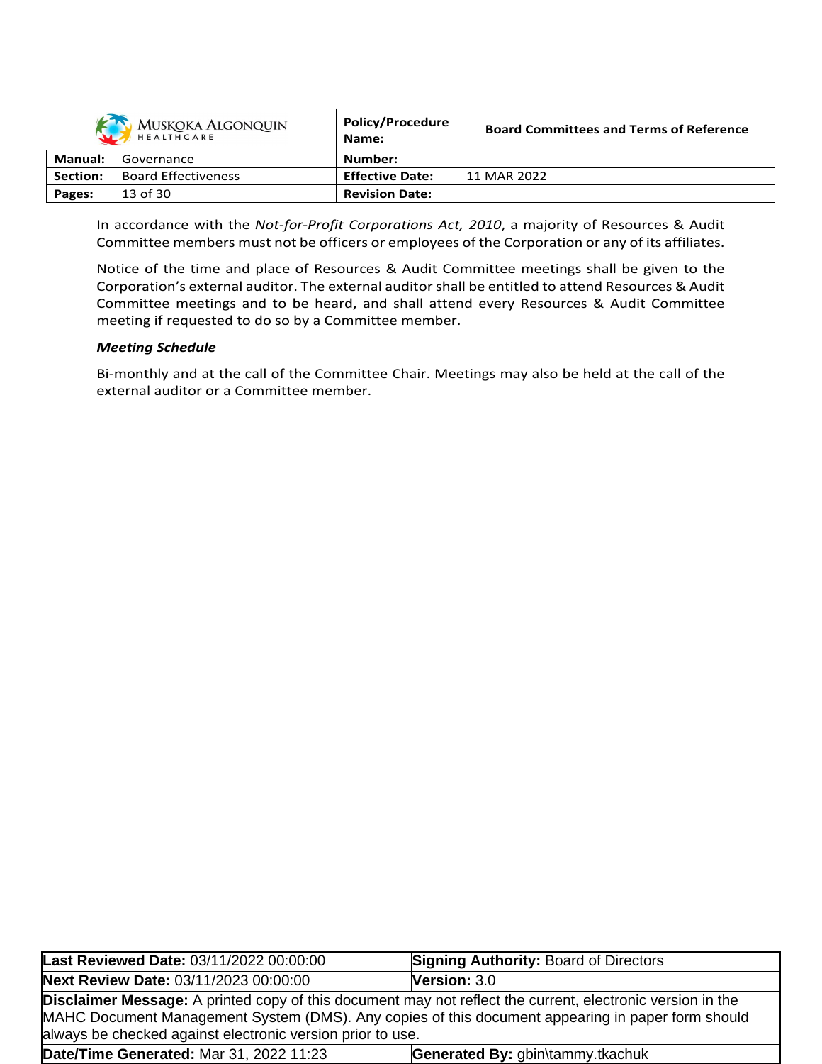|                | MUSKOKA ALGONQUIN          | <b>Policy/Procedure</b><br>Name: | <b>Board Committees and Terms of Reference</b> |
|----------------|----------------------------|----------------------------------|------------------------------------------------|
| <b>Manual:</b> | Governance                 | Number:                          |                                                |
| Section:       | <b>Board Effectiveness</b> | <b>Effective Date:</b>           | 11 MAR 2022                                    |
| Pages:         | 13 of 30                   | <b>Revision Date:</b>            |                                                |

In accordance with the *Not-for-Profit Corporations Act, 2010*, a majority of Resources & Audit Committee members must not be officers or employees of the Corporation or any of its affiliates.

Notice of the time and place of Resources & Audit Committee meetings shall be given to the Corporation's external auditor. The external auditorshall be entitled to attend Resources & Audit Committee meetings and to be heard, and shall attend every Resources & Audit Committee meeting if requested to do so by a Committee member.

## *Meeting Schedule*

Bi-monthly and at the call of the Committee Chair. Meetings may also be held at the call of the external auditor or a Committee member.

| Last Reviewed Date: 03/11/2022 00:00:00                                                                                                                                                                                                                                              | <b>Signing Authority: Board of Directors</b> |
|--------------------------------------------------------------------------------------------------------------------------------------------------------------------------------------------------------------------------------------------------------------------------------------|----------------------------------------------|
| Next Review Date: 03/11/2023 00:00:00                                                                                                                                                                                                                                                | <b>Version: <math>3.0</math></b>             |
| <b>Disclaimer Message:</b> A printed copy of this document may not reflect the current, electronic version in the<br>MAHC Document Management System (DMS). Any copies of this document appearing in paper form should<br>always be checked against electronic version prior to use. |                                              |
| Date/Time Generated: Mar 31, 2022 11:23                                                                                                                                                                                                                                              | Generated By: gbin\tammy.tkachuk             |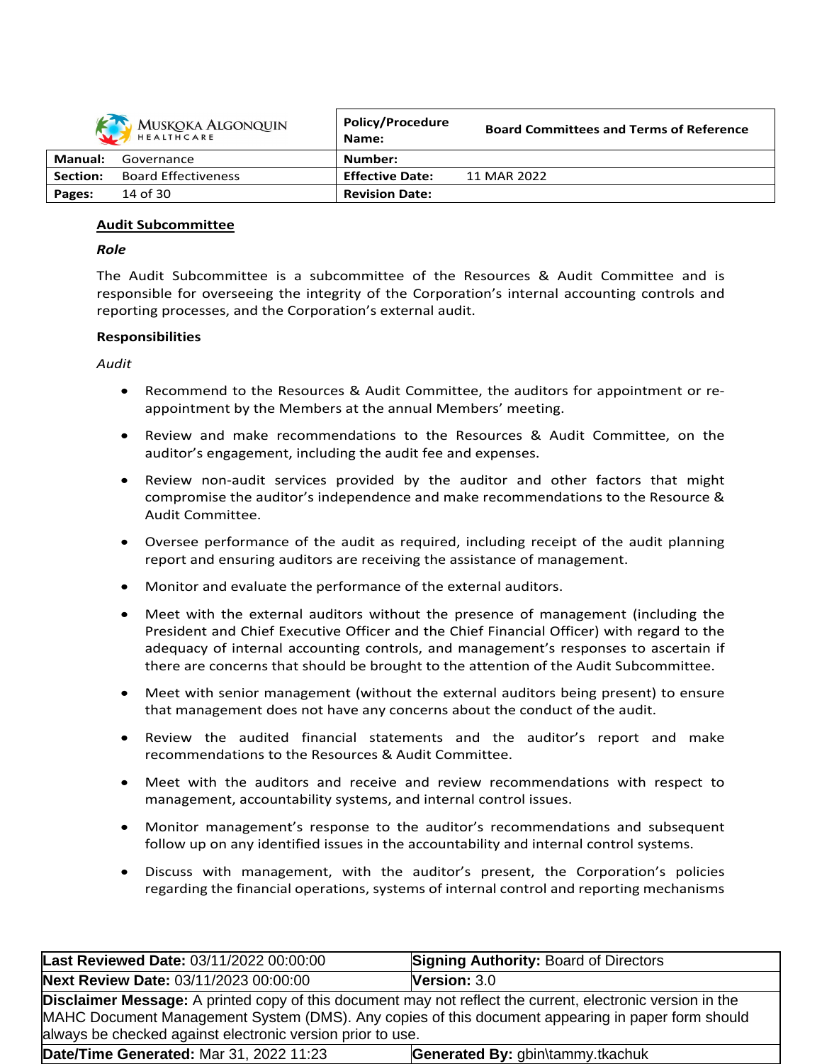|          | MUSKOKA ALGONQUIN          | <b>Policy/Procedure</b><br>Name: | <b>Board Committees and Terms of Reference</b> |
|----------|----------------------------|----------------------------------|------------------------------------------------|
| Manual:  | Governance                 | Number:                          |                                                |
| Section: | <b>Board Effectiveness</b> | <b>Effective Date:</b>           | 11 MAR 2022                                    |
| Pages:   | 14 of 30                   | <b>Revision Date:</b>            |                                                |

## **Audit Subcommittee**

### *Role*

The Audit Subcommittee is a subcommittee of the Resources & Audit Committee and is responsible for overseeing the integrity of the Corporation's internal accounting controls and reporting processes, and the Corporation's external audit.

## **Responsibilities**

*Audit*

- Recommend to the Resources & Audit Committee, the auditors for appointment or reappointment by the Members at the annual Members' meeting.
- Review and make recommendations to the Resources & Audit Committee, on the auditor's engagement, including the audit fee and expenses.
- Review non-audit services provided by the auditor and other factors that might compromise the auditor's independence and make recommendations to the Resource & Audit Committee.
- Oversee performance of the audit as required, including receipt of the audit planning report and ensuring auditors are receiving the assistance of management.
- Monitor and evaluate the performance of the external auditors.
- Meet with the external auditors without the presence of management (including the President and Chief Executive Officer and the Chief Financial Officer) with regard to the adequacy of internal accounting controls, and management's responses to ascertain if there are concerns that should be brought to the attention of the Audit Subcommittee.
- Meet with senior management (without the external auditors being present) to ensure that management does not have any concerns about the conduct of the audit.
- Review the audited financial statements and the auditor's report and make recommendations to the Resources & Audit Committee.
- Meet with the auditors and receive and review recommendations with respect to management, accountability systems, and internal control issues.
- Monitor management's response to the auditor's recommendations and subsequent follow up on any identified issues in the accountability and internal control systems.
- Discuss with management, with the auditor's present, the Corporation's policies regarding the financial operations, systems of internal control and reporting mechanisms

| Last Reviewed Date: 03/11/2022 00:00:00 | <b>Signing Authority: Board of Directors</b>                                                                                                                                                                                                                                         |  |  |
|-----------------------------------------|--------------------------------------------------------------------------------------------------------------------------------------------------------------------------------------------------------------------------------------------------------------------------------------|--|--|
| Next Review Date: 03/11/2023 00:00:00   | <b>Version: <math>3.0</math></b>                                                                                                                                                                                                                                                     |  |  |
|                                         | <b>Disclaimer Message:</b> A printed copy of this document may not reflect the current, electronic version in the<br>MAHC Document Management System (DMS). Any copies of this document appearing in paper form should<br>always be checked against electronic version prior to use. |  |  |
| Date/Time Generated: Mar 31, 2022 11:23 | Generated By: gbin\tammy.tkachuk                                                                                                                                                                                                                                                     |  |  |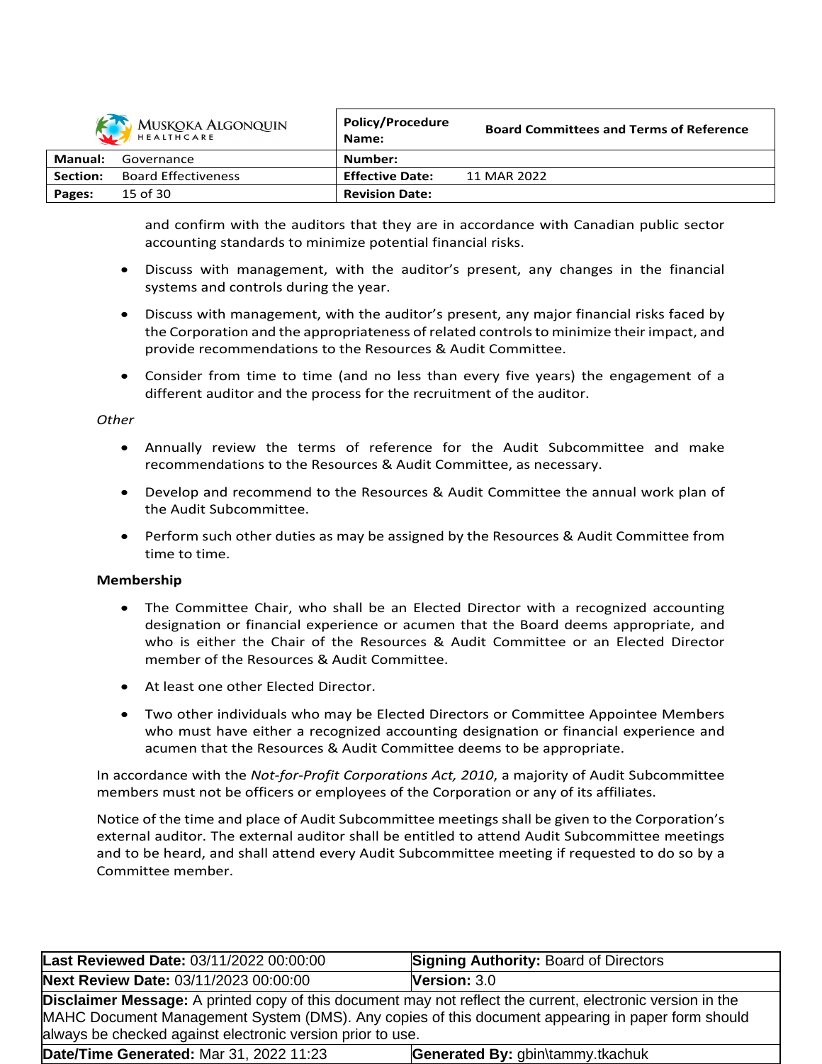|          | MUSKOKA ALGONQUIN          | <b>Policy/Procedure</b><br>Name: | <b>Board Committees and Terms of Reference</b> |
|----------|----------------------------|----------------------------------|------------------------------------------------|
| Manual:  | Governance                 | Number:                          |                                                |
| Section: | <b>Board Effectiveness</b> | <b>Effective Date:</b>           | 11 MAR 2022                                    |
| Pages:   | 15 of 30                   | <b>Revision Date:</b>            |                                                |

and confirm with the auditors that they are in accordance with Canadian public sector accounting standards to minimize potential financial risks.

- Discuss with management, with the auditor's present, any changes in the financial systems and controls during the year.
- Discuss with management, with the auditor's present, any major financial risks faced by the Corporation and the appropriateness of related controls to minimize their impact, and provide recommendations to the Resources & Audit Committee.
- Consider from time to time (and no less than every five years) the engagement of a different auditor and the process for the recruitment of the auditor.

### *Other*

- Annually review the terms of reference for the Audit Subcommittee and make recommendations to the Resources & Audit Committee, as necessary.
- Develop and recommend to the Resources & Audit Committee the annual work plan of the Audit Subcommittee.
- Perform such other duties as may be assigned by the Resources & Audit Committee from time to time.

### **Membership**

- The Committee Chair, who shall be an Elected Director with a recognized accounting designation or financial experience or acumen that the Board deems appropriate, and who is either the Chair of the Resources & Audit Committee or an Elected Director member of the Resources & Audit Committee.
- At least one other Elected Director.
- Two other individuals who may be Elected Directors or Committee Appointee Members who must have either a recognized accounting designation or financial experience and acumen that the Resources & Audit Committee deems to be appropriate.

In accordance with the *Not-for-Profit Corporations Act, 2010*, a majority of Audit Subcommittee members must not be officers or employees of the Corporation or any of its affiliates.

Notice of the time and place of Audit Subcommittee meetings shall be given to the Corporation's external auditor. The external auditor shall be entitled to attend Audit Subcommittee meetings and to be heard, and shall attend every Audit Subcommittee meeting if requested to do so by a Committee member.

| Last Reviewed Date: 03/11/2022 00:00:00                                                                                                                                                                                                                                       | <b>Signing Authority: Board of Directors</b> |
|-------------------------------------------------------------------------------------------------------------------------------------------------------------------------------------------------------------------------------------------------------------------------------|----------------------------------------------|
| Next Review Date: 03/11/2023 00:00:00                                                                                                                                                                                                                                         | Version: 3.0                                 |
| Disclaimer Message: A printed copy of this document may not reflect the current, electronic version in the<br>MAHC Document Management System (DMS). Any copies of this document appearing in paper form should<br>always be checked against electronic version prior to use. |                                              |
| Date/Time Generated: Mar 31, 2022 11:23                                                                                                                                                                                                                                       | Generated By: gbin\tammy.tkachuk             |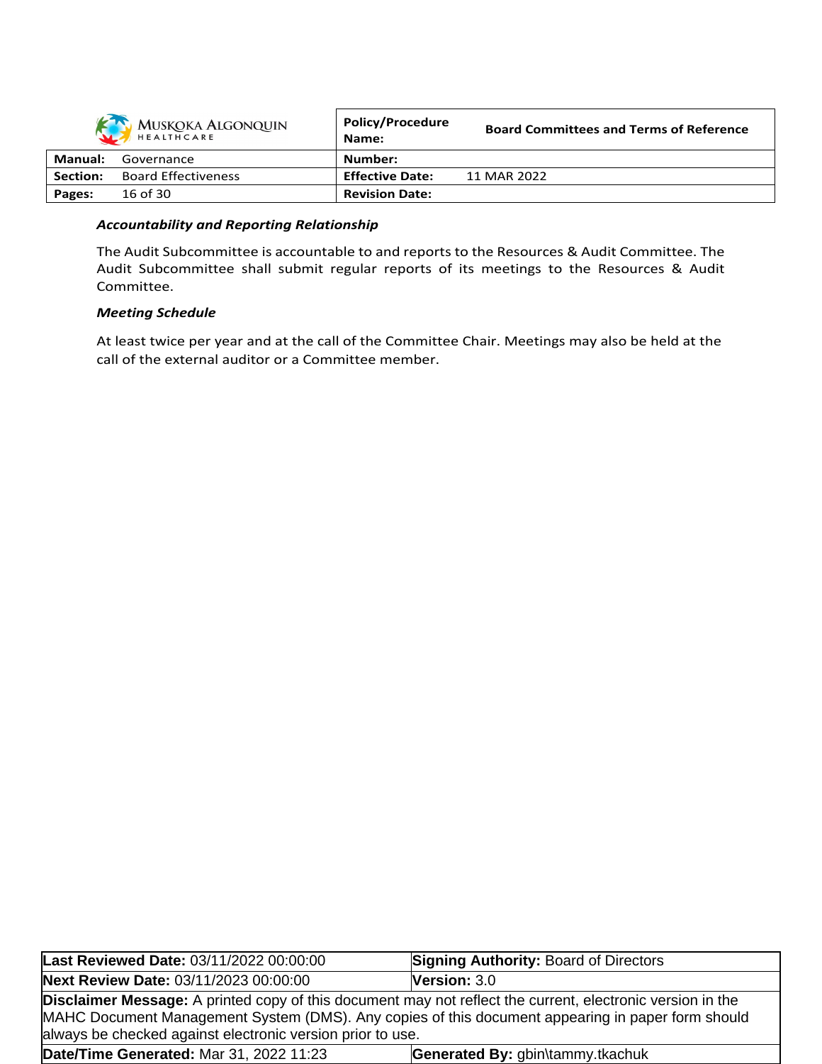|          | <b>MUSKOKA ALGONQUIN</b>   | <b>Policy/Procedure</b><br>Name: | <b>Board Committees and Terms of Reference</b> |
|----------|----------------------------|----------------------------------|------------------------------------------------|
| Manual:  | Governance                 | Number:                          |                                                |
| Section: | <b>Board Effectiveness</b> | <b>Effective Date:</b>           | 11 MAR 2022                                    |
| Pages:   | 16 of 30                   | <b>Revision Date:</b>            |                                                |

## *Accountability and Reporting Relationship*

The Audit Subcommittee is accountable to and reports to the Resources & Audit Committee. The Audit Subcommittee shall submit regular reports of its meetings to the Resources & Audit Committee.

### *Meeting Schedule*

At least twice per year and at the call of the Committee Chair. Meetings may also be held at the call of the external auditor or a Committee member.

| Last Reviewed Date: 03/11/2022 00:00:00                    | <b>Signing Authority: Board of Directors</b>                                                                                                                                                                           |
|------------------------------------------------------------|------------------------------------------------------------------------------------------------------------------------------------------------------------------------------------------------------------------------|
| Next Review Date: 03/11/2023 00:00:00                      | <b>Version: 3.0</b>                                                                                                                                                                                                    |
| always be checked against electronic version prior to use. | <b>Disclaimer Message:</b> A printed copy of this document may not reflect the current, electronic version in the<br>MAHC Document Management System (DMS). Any copies of this document appearing in paper form should |
| Date/Time Generated: Mar 31, 2022 11:23                    | Generated By: gbin\tammy.tkachuk                                                                                                                                                                                       |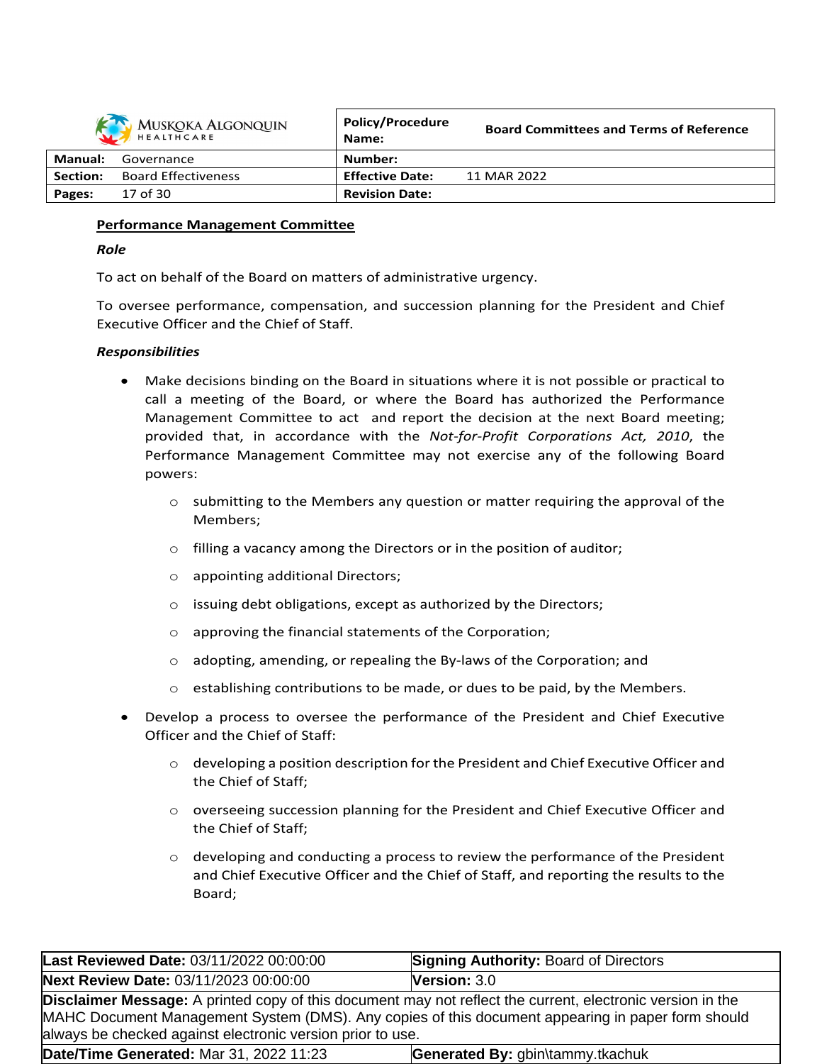|          | MUSKOKA ALGONQUIN          | <b>Policy/Procedure</b><br>Name: | <b>Board Committees and Terms of Reference</b> |
|----------|----------------------------|----------------------------------|------------------------------------------------|
| Manual:  | Governance                 | Number:                          |                                                |
| Section: | <b>Board Effectiveness</b> | <b>Effective Date:</b>           | 11 MAR 2022                                    |
| Pages:   | 17 of 30                   | <b>Revision Date:</b>            |                                                |

### **Performance Management Committee**

### *Role*

To act on behalf of the Board on matters of administrative urgency.

To oversee performance, compensation, and succession planning for the President and Chief Executive Officer and the Chief of Staff.

## *Responsibilities*

- Make decisions binding on the Board in situations where it is not possible or practical to call a meeting of the Board, or where the Board has authorized the Performance Management Committee to act and report the decision at the next Board meeting; provided that, in accordance with the *Not-for-Profit Corporations Act, 2010*, the Performance Management Committee may not exercise any of the following Board powers:
	- $\circ$  submitting to the Members any question or matter requiring the approval of the Members;
	- $\circ$  filling a vacancy among the Directors or in the position of auditor;
	- o appointing additional Directors;
	- o issuing debt obligations, except as authorized by the Directors;
	- o approving the financial statements of the Corporation;
	- o adopting, amending, or repealing the By-laws of the Corporation; and
	- $\circ$  establishing contributions to be made, or dues to be paid, by the Members.
- Develop a process to oversee the performance of the President and Chief Executive Officer and the Chief of Staff:
	- $\circ$  developing a position description for the President and Chief Executive Officer and the Chief of Staff;
	- o overseeing succession planning for the President and Chief Executive Officer and the Chief of Staff;
	- $\circ$  developing and conducting a process to review the performance of the President and Chief Executive Officer and the Chief of Staff, and reporting the results to the Board;

| Last Reviewed Date: 03/11/2022 00:00:00                                                                                                                                                                                                                                              | <b>Signing Authority: Board of Directors</b> |
|--------------------------------------------------------------------------------------------------------------------------------------------------------------------------------------------------------------------------------------------------------------------------------------|----------------------------------------------|
| Next Review Date: 03/11/2023 00:00:00                                                                                                                                                                                                                                                | <b>Version: 3.0</b>                          |
| <b>Disclaimer Message:</b> A printed copy of this document may not reflect the current, electronic version in the<br>MAHC Document Management System (DMS). Any copies of this document appearing in paper form should<br>always be checked against electronic version prior to use. |                                              |
| Date/Time Generated: Mar 31, 2022 11:23                                                                                                                                                                                                                                              | Generated By: gbin\tammy.tkachuk             |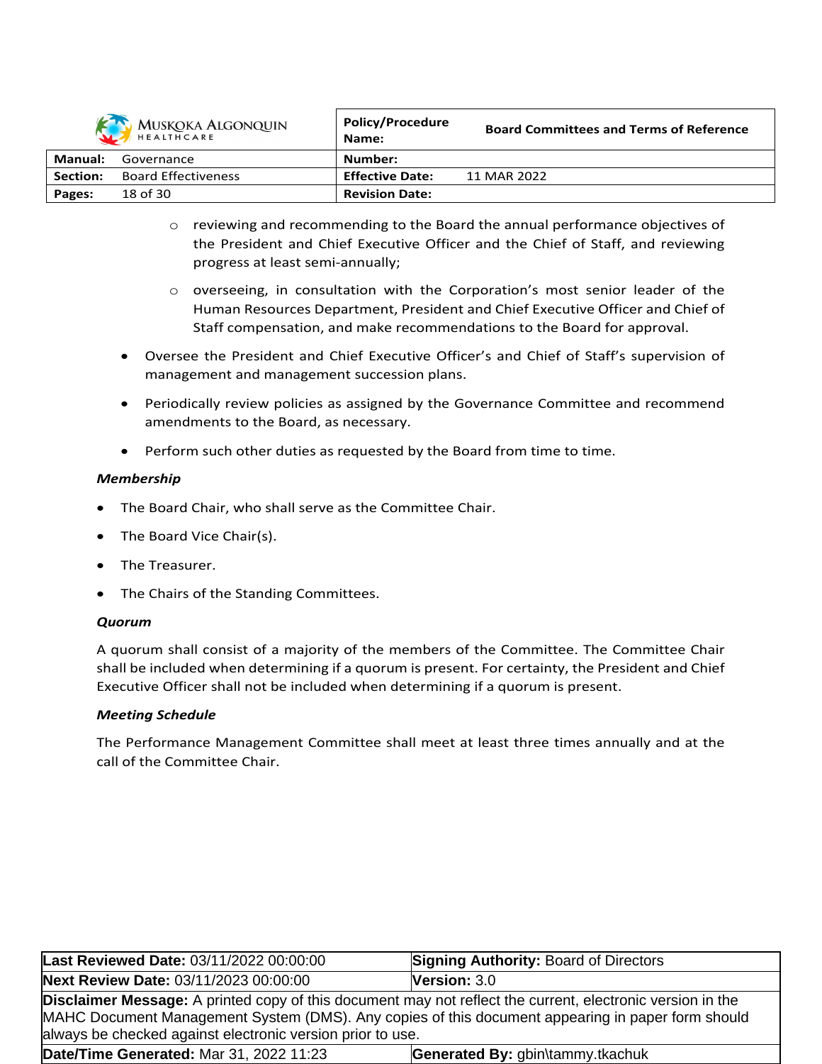

| 52       | MUSKOKA ALGONQUIN<br>HEALTHCARE | <b>POIICY/Procedure</b><br>Name: | <b>Board Committees and Terms of Reference</b> |
|----------|---------------------------------|----------------------------------|------------------------------------------------|
| Manual:  | Governance                      | Number:                          |                                                |
| Section: | <b>Board Effectiveness</b>      | <b>Effective Date:</b>           | 11 MAR 2022                                    |
| Pages:   | 18 of 30                        | <b>Revision Date:</b>            |                                                |

- o reviewing and recommending to the Board the annual performance objectives of the President and Chief Executive Officer and the Chief of Staff, and reviewing progress at least semi-annually;
- $\circ$  overseeing, in consultation with the Corporation's most senior leader of the Human Resources Department, President and Chief Executive Officer and Chief of Staff compensation, and make recommendations to the Board for approval.
- Oversee the President and Chief Executive Officer's and Chief of Staff's supervision of management and management succession plans.
- Periodically review policies as assigned by the Governance Committee and recommend amendments to the Board, as necessary.
- Perform such other duties as requested by the Board from time to time.

# *Membership*

- The Board Chair, who shall serve as the Committee Chair.
- The Board Vice Chair(s).
- The Treasurer.
- The Chairs of the Standing Committees.

# *Quorum*

A quorum shall consist of a majority of the members of the Committee. The Committee Chair shall be included when determining if a quorum is present. For certainty, the President and Chief Executive Officer shall not be included when determining if a quorum is present.

# *Meeting Schedule*

The Performance Management Committee shall meet at least three times annually and at the call of the Committee Chair.

| Last Reviewed Date: 03/11/2022 00:00:00                                                                                                                                                                                                                                              | <b>Signing Authority: Board of Directors</b> |
|--------------------------------------------------------------------------------------------------------------------------------------------------------------------------------------------------------------------------------------------------------------------------------------|----------------------------------------------|
| Next Review Date: 03/11/2023 00:00:00                                                                                                                                                                                                                                                | <b>Version: <math>3.0</math></b>             |
| <b>Disclaimer Message:</b> A printed copy of this document may not reflect the current, electronic version in the<br>MAHC Document Management System (DMS). Any copies of this document appearing in paper form should<br>always be checked against electronic version prior to use. |                                              |
| Date/Time Generated: Mar 31, 2022 11:23                                                                                                                                                                                                                                              | Generated By: gbin\tammy.tkachuk             |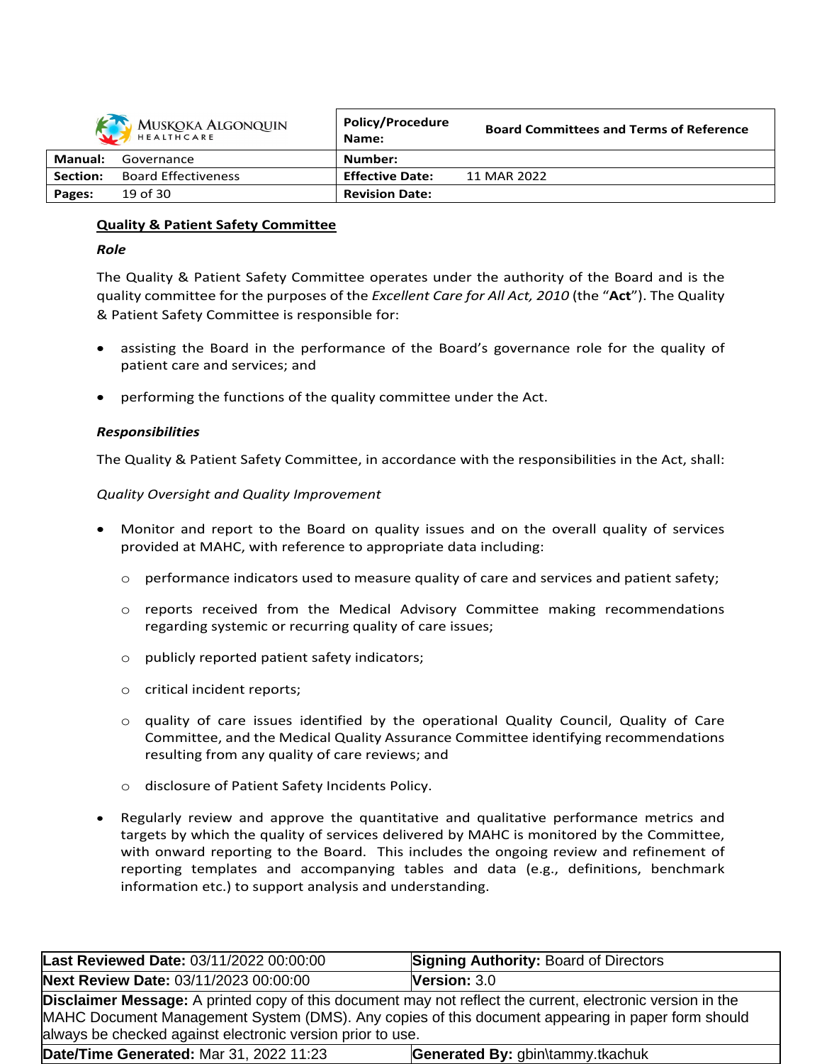|          | <b>MUSKOKA ALGONQUIN</b><br>HEALTHCARE | <b>Policy/Procedure</b><br>Name: | <b>Board Committees and Terms of Reference</b> |
|----------|----------------------------------------|----------------------------------|------------------------------------------------|
| Manual:  | Governance                             | Number:                          |                                                |
| Section: | <b>Board Effectiveness</b>             | <b>Effective Date:</b>           | 11 MAR 2022                                    |
| Pages:   | 19 of 30                               | <b>Revision Date:</b>            |                                                |

# **Quality & Patient Safety Committee**

## *Role*

The Quality & Patient Safety Committee operates under the authority of the Board and is the quality committee for the purposes of the *Excellent Care for All Act, 2010* (the "**Act**"). The Quality & Patient Safety Committee is responsible for:

- assisting the Board in the performance of the Board's governance role for the quality of patient care and services; and
- performing the functions of the quality committee under the Act.

# *Responsibilities*

The Quality & Patient Safety Committee, in accordance with the responsibilities in the Act, shall:

## *Quality Oversight and Quality Improvement*

- Monitor and report to the Board on quality issues and on the overall quality of services provided at MAHC, with reference to appropriate data including:
	- $\circ$  performance indicators used to measure quality of care and services and patient safety;
	- $\circ$  reports received from the Medical Advisory Committee making recommendations regarding systemic or recurring quality of care issues;
	- o publicly reported patient safety indicators;
	- o critical incident reports;
	- o quality of care issues identified by the operational Quality Council, Quality of Care Committee, and the Medical Quality Assurance Committee identifying recommendations resulting from any quality of care reviews; and
	- o disclosure of Patient Safety Incidents Policy.
- Regularly review and approve the quantitative and qualitative performance metrics and targets by which the quality of services delivered by MAHC is monitored by the Committee, with onward reporting to the Board. This includes the ongoing review and refinement of reporting templates and accompanying tables and data (e.g., definitions, benchmark information etc.) to support analysis and understanding.

| Last Reviewed Date: 03/11/2022 00:00:00                                                                                                                                                                                                                                              | <b>Signing Authority: Board of Directors</b> |
|--------------------------------------------------------------------------------------------------------------------------------------------------------------------------------------------------------------------------------------------------------------------------------------|----------------------------------------------|
| Next Review Date: 03/11/2023 00:00:00                                                                                                                                                                                                                                                | <b>Version: <math>3.0</math></b>             |
| <b>Disclaimer Message:</b> A printed copy of this document may not reflect the current, electronic version in the<br>MAHC Document Management System (DMS). Any copies of this document appearing in paper form should<br>always be checked against electronic version prior to use. |                                              |
| Date/Time Generated: Mar 31, 2022 11:23                                                                                                                                                                                                                                              | Generated By: gbin\tammy.tkachuk             |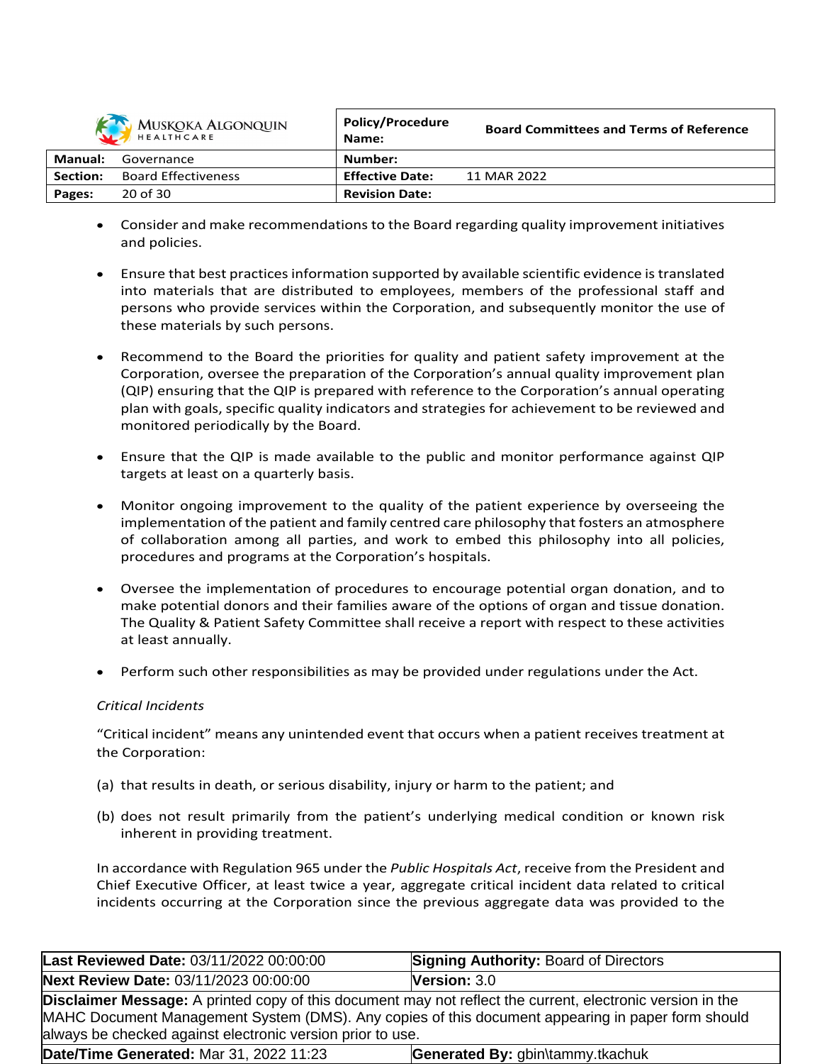

|                 | MUSKOKA ALGONQUIN<br>HEALTHCARE | <b>POIICY/Procedure</b><br>Name: | <b>Board Committees and Terms of Reference</b> |
|-----------------|---------------------------------|----------------------------------|------------------------------------------------|
| Manual:         | Governance                      | Number:                          |                                                |
| <b>Section:</b> | <b>Board Effectiveness</b>      | <b>Effective Date:</b>           | 11 MAR 2022                                    |
| Pages:          | 20 of 30                        | <b>Revision Date:</b>            |                                                |

- Consider and make recommendations to the Board regarding quality improvement initiatives and policies.
- Ensure that best practices information supported by available scientific evidence is translated into materials that are distributed to employees, members of the professional staff and persons who provide services within the Corporation, and subsequently monitor the use of these materials by such persons.
- Recommend to the Board the priorities for quality and patient safety improvement at the Corporation, oversee the preparation of the Corporation's annual quality improvement plan (QIP) ensuring that the QIP is prepared with reference to the Corporation's annual operating plan with goals, specific quality indicators and strategies for achievement to be reviewed and monitored periodically by the Board.
- Ensure that the QIP is made available to the public and monitor performance against QIP targets at least on a quarterly basis.
- Monitor ongoing improvement to the quality of the patient experience by overseeing the implementation of the patient and family centred care philosophy that fosters an atmosphere of collaboration among all parties, and work to embed this philosophy into all policies, procedures and programs at the Corporation's hospitals.
- Oversee the implementation of procedures to encourage potential organ donation, and to make potential donors and their families aware of the options of organ and tissue donation. The Quality & Patient Safety Committee shall receive a report with respect to these activities at least annually.
- Perform such other responsibilities as may be provided under regulations under the Act.

# *Critical Incidents*

"Critical incident" means any unintended event that occurs when a patient receives treatment at the Corporation:

- (a) that results in death, or serious disability, injury or harm to the patient; and
- (b) does not result primarily from the patient's underlying medical condition or known risk inherent in providing treatment.

In accordance with Regulation 965 under the *Public Hospitals Act*, receive from the President and Chief Executive Officer, at least twice a year, aggregate critical incident data related to critical incidents occurring at the Corporation since the previous aggregate data was provided to the

| Last Reviewed Date: 03/11/2022 00:00:00                                                                                                                                                                                                                                              | <b>Signing Authority: Board of Directors</b> |
|--------------------------------------------------------------------------------------------------------------------------------------------------------------------------------------------------------------------------------------------------------------------------------------|----------------------------------------------|
| <b>Next Review Date: 03/11/2023 00:00:00</b>                                                                                                                                                                                                                                         | <b>Version: <math>3.0</math></b>             |
| <b>Disclaimer Message:</b> A printed copy of this document may not reflect the current, electronic version in the<br>MAHC Document Management System (DMS). Any copies of this document appearing in paper form should<br>always be checked against electronic version prior to use. |                                              |
| Date/Time Generated: Mar 31, 2022 11:23                                                                                                                                                                                                                                              | Generated By: gbin\tammy.tkachuk             |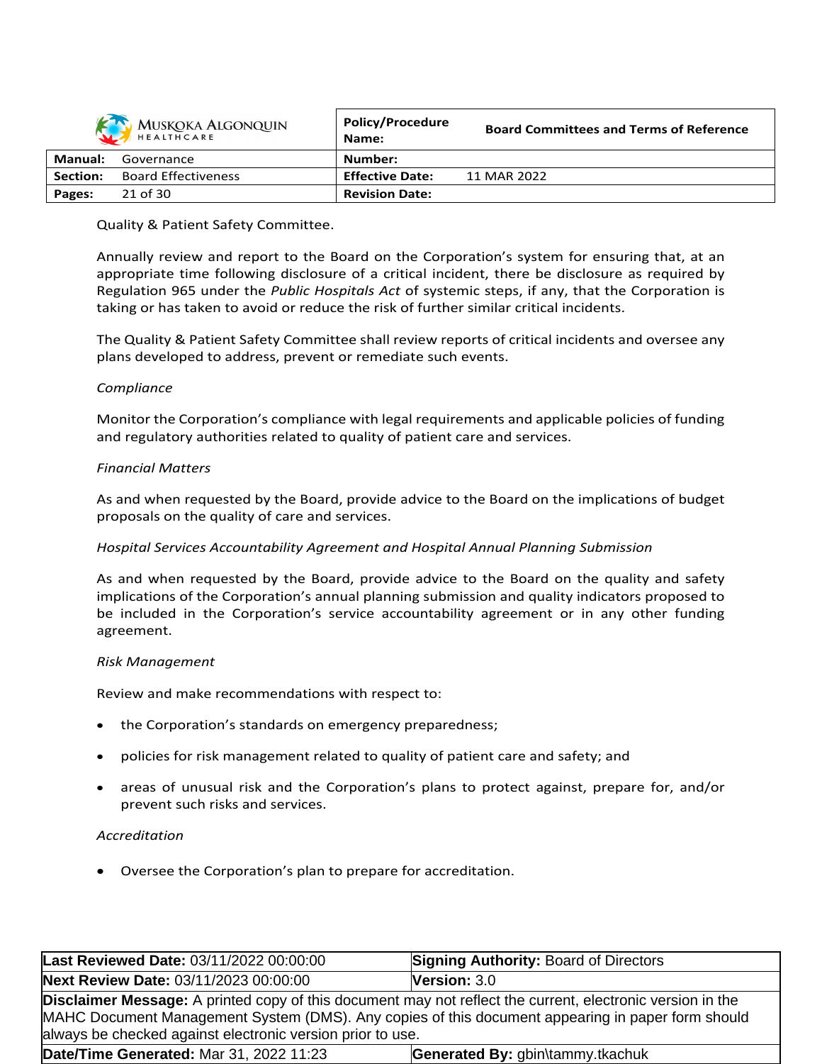|          | MUSKOKA ALGONQUIN          | <b>Policy/Procedure</b><br>Name: | <b>Board Committees and Terms of Reference</b> |
|----------|----------------------------|----------------------------------|------------------------------------------------|
| Manual:  | Governance                 | Number:                          |                                                |
| Section: | <b>Board Effectiveness</b> | <b>Effective Date:</b>           | 11 MAR 2022                                    |
| Pages:   | 21 of 30                   | <b>Revision Date:</b>            |                                                |

## Quality & Patient Safety Committee.

Annually review and report to the Board on the Corporation's system for ensuring that, at an appropriate time following disclosure of a critical incident, there be disclosure as required by Regulation 965 under the *Public Hospitals Act* of systemic steps, if any, that the Corporation is taking or has taken to avoid or reduce the risk of further similar critical incidents.

The Quality & Patient Safety Committee shall review reports of critical incidents and oversee any plans developed to address, prevent or remediate such events.

### *Compliance*

Monitor the Corporation's compliance with legal requirements and applicable policies of funding and regulatory authorities related to quality of patient care and services.

## *Financial Matters*

As and when requested by the Board, provide advice to the Board on the implications of budget proposals on the quality of care and services.

# *Hospital Services Accountability Agreement and Hospital Annual Planning Submission*

As and when requested by the Board, provide advice to the Board on the quality and safety implications of the Corporation's annual planning submission and quality indicators proposed to be included in the Corporation's service accountability agreement or in any other funding agreement.

### *Risk Management*

Review and make recommendations with respect to:

- the Corporation's standards on emergency preparedness;
- policies for risk management related to quality of patient care and safety; and
- areas of unusual risk and the Corporation's plans to protect against, prepare for, and/or prevent such risks and services.

### *Accreditation*

Oversee the Corporation's plan to prepare for accreditation.

| Last Reviewed Date: 03/11/2022 00:00:00                                                                                                                                                                                                                                              | <b>Signing Authority: Board of Directors</b> |
|--------------------------------------------------------------------------------------------------------------------------------------------------------------------------------------------------------------------------------------------------------------------------------------|----------------------------------------------|
| Next Review Date: 03/11/2023 00:00:00                                                                                                                                                                                                                                                | Version: 3.0                                 |
| <b>Disclaimer Message:</b> A printed copy of this document may not reflect the current, electronic version in the<br>MAHC Document Management System (DMS). Any copies of this document appearing in paper form should<br>always be checked against electronic version prior to use. |                                              |
| Date/Time Generated: Mar 31, 2022 11:23                                                                                                                                                                                                                                              | Generated By: gbin\tammy.tkachuk             |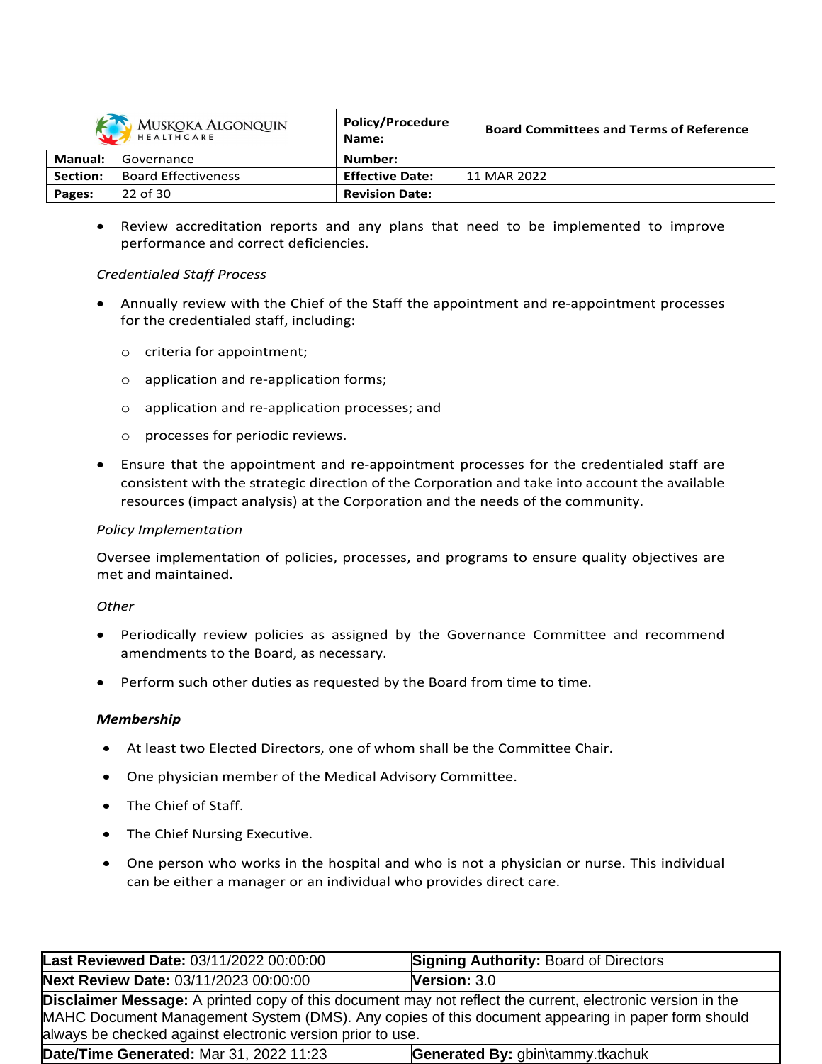

|          | MUSKOKA ALGONQUIN<br>HEALTHCARE | <b>Policy/Procedure</b><br>Name: | <b>Board Committees and Terms of Reference</b> |
|----------|---------------------------------|----------------------------------|------------------------------------------------|
| Manual:  | Governance                      | Number:                          |                                                |
| Section: | <b>Board Effectiveness</b>      | <b>Effective Date:</b>           | 11 MAR 2022                                    |
| Pages:   | 22 of 30                        | <b>Revision Date:</b>            |                                                |

 Review accreditation reports and any plans that need to be implemented to improve performance and correct deficiencies.

## *Credentialed Staff Process*

- Annually review with the Chief of the Staff the appointment and re-appointment processes for the credentialed staff, including:
	- o criteria for appointment;
	- o application and re-application forms;
	- o application and re-application processes; and
	- o processes for periodic reviews.
- Ensure that the appointment and re-appointment processes for the credentialed staff are consistent with the strategic direction of the Corporation and take into account the available resources (impact analysis) at the Corporation and the needs of the community.

### *Policy Implementation*

Oversee implementation of policies, processes, and programs to ensure quality objectives are met and maintained.

### *Other*

- Periodically review policies as assigned by the Governance Committee and recommend amendments to the Board, as necessary.
- Perform such other duties as requested by the Board from time to time.

### *Membership*

- At least two Elected Directors, one of whom shall be the Committee Chair.
- One physician member of the Medical Advisory Committee.
- The Chief of Staff.
- The Chief Nursing Executive.
- One person who works in the hospital and who is not a physician or nurse. This individual can be either a manager or an individual who provides direct care.

| Last Reviewed Date: 03/11/2022 00:00:00                                                                                                                                                                                                                                              | <b>Signing Authority: Board of Directors</b> |  |
|--------------------------------------------------------------------------------------------------------------------------------------------------------------------------------------------------------------------------------------------------------------------------------------|----------------------------------------------|--|
| Next Review Date: 03/11/2023 00:00:00                                                                                                                                                                                                                                                | Version: 3.0                                 |  |
| <b>Disclaimer Message:</b> A printed copy of this document may not reflect the current, electronic version in the<br>MAHC Document Management System (DMS). Any copies of this document appearing in paper form should<br>always be checked against electronic version prior to use. |                                              |  |
| Date/Time Generated: Mar 31, 2022 11:23                                                                                                                                                                                                                                              | Generated By: gbin\tammy.tkachuk             |  |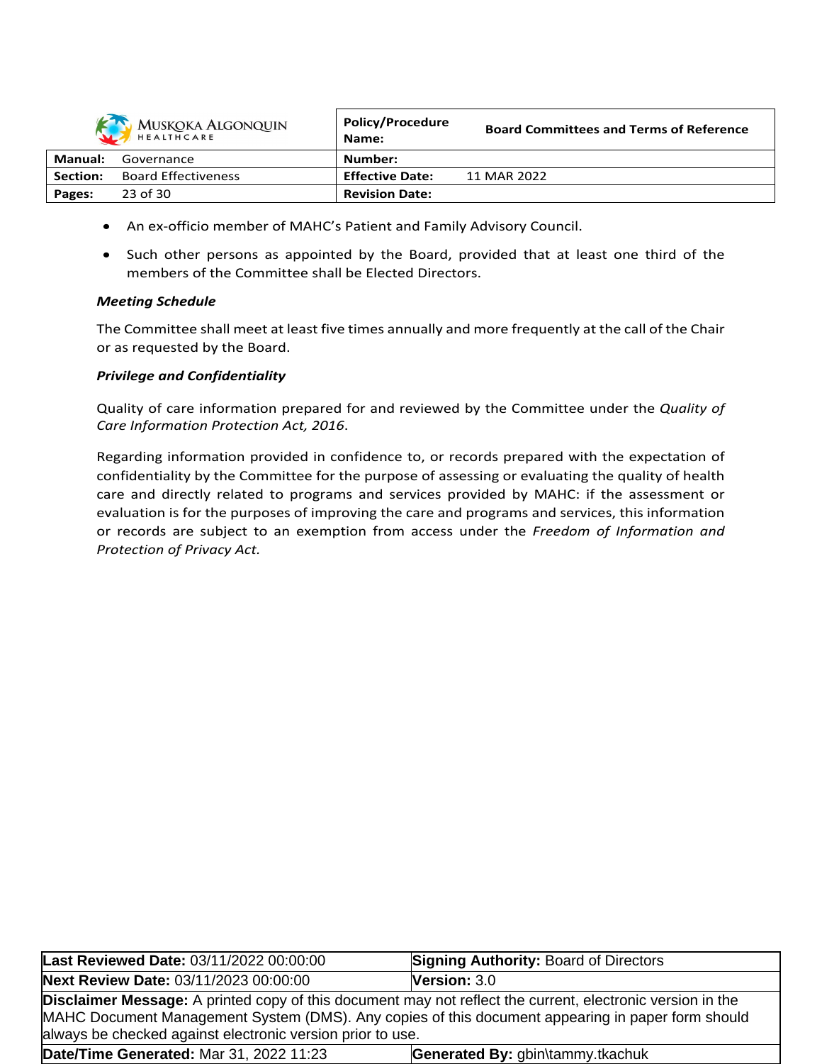

|          | MUSKOKA ALGONQUIN<br>HEALTHCARE | <b>POIICY/Procedure</b><br>Name: | <b>Board Committees and Terms of Reference</b> |
|----------|---------------------------------|----------------------------------|------------------------------------------------|
| Manual:  | Governance                      | Number:                          |                                                |
| Section: | <b>Board Effectiveness</b>      | <b>Effective Date:</b>           | 11 MAR 2022                                    |
| Pages:   | 23 of 30                        | <b>Revision Date:</b>            |                                                |

- An ex-officio member of MAHC's Patient and Family Advisory Council.
- Such other persons as appointed by the Board, provided that at least one third of the members of the Committee shall be Elected Directors.

# *Meeting Schedule*

The Committee shall meet at least five times annually and more frequently at the call of the Chair or as requested by the Board.

## *Privilege and Confidentiality*

Quality of care information prepared for and reviewed by the Committee under the *Quality of Care Information Protection Act, 2016*.

Regarding information provided in confidence to, or records prepared with the expectation of confidentiality by the Committee for the purpose of assessing or evaluating the quality of health care and directly related to programs and services provided by MAHC: if the assessment or evaluation is for the purposes of improving the care and programs and services, this information or records are subject to an exemption from access under the *Freedom of Information and Protection of Privacy Act.*

| Last Reviewed Date: 03/11/2022 00:00:00                                                                                                                         | <b>Signing Authority: Board of Directors</b> |  |
|-----------------------------------------------------------------------------------------------------------------------------------------------------------------|----------------------------------------------|--|
| Next Review Date: 03/11/2023 00:00:00                                                                                                                           | <b>Version: <math>3.0</math></b>             |  |
| <b>Disclaimer Message:</b> A printed copy of this document may not reflect the current, electronic version in the                                               |                                              |  |
| MAHC Document Management System (DMS). Any copies of this document appearing in paper form should<br>always be checked against electronic version prior to use. |                                              |  |
| Date/Time Generated: Mar 31, 2022 11:23                                                                                                                         | Generated By: gbin\tammy.tkachuk             |  |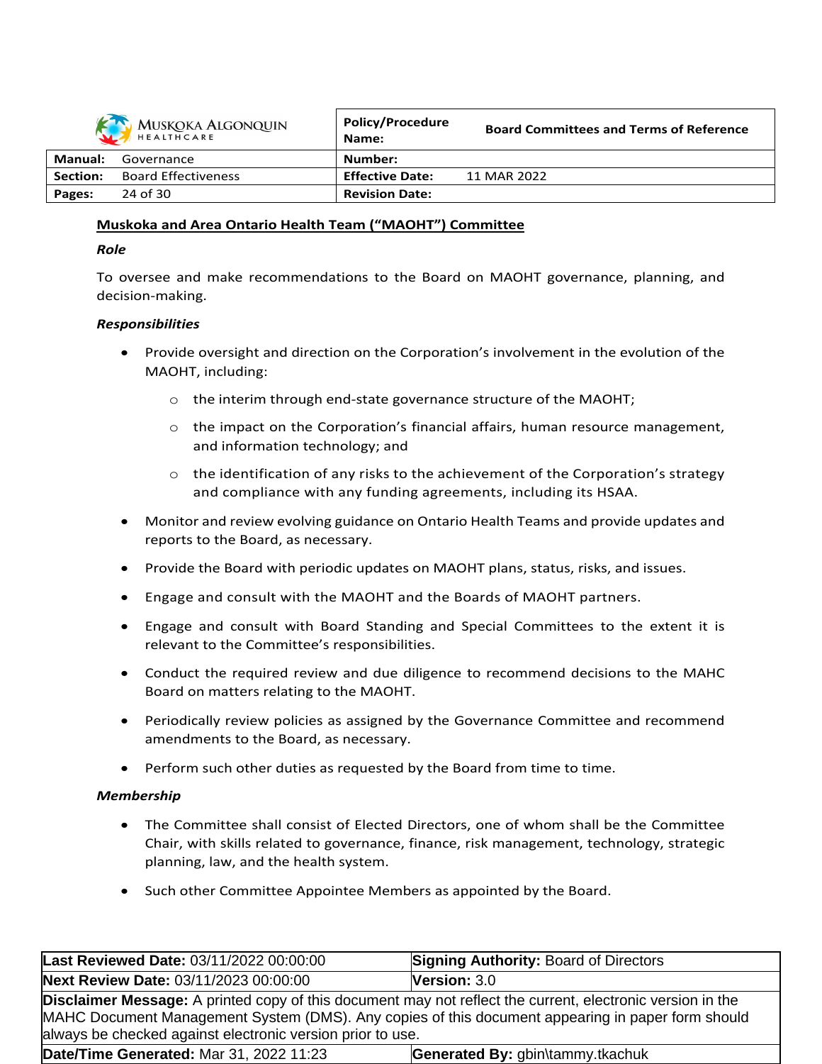

|          | MUSKOKA ALGONQUIN<br>HEALTHCARE | POIICV/Procedure<br>Name: | <b>Board Committees and Terms of Reference</b> |
|----------|---------------------------------|---------------------------|------------------------------------------------|
| Manual:  | Governance                      | Number:                   |                                                |
| Section: | <b>Board Effectiveness</b>      | <b>Effective Date:</b>    | 11 MAR 2022                                    |
| Pages:   | 24 of 30                        | <b>Revision Date:</b>     |                                                |

# **Muskoka and Area Ontario Health Team ("MAOHT") Committee**

### *Role*

To oversee and make recommendations to the Board on MAOHT governance, planning, and decision-making.

### *Responsibilities*

- Provide oversight and direction on the Corporation's involvement in the evolution of the MAOHT, including:
	- o the interim through end-state governance structure of the MAOHT;
	- $\circ$  the impact on the Corporation's financial affairs, human resource management, and information technology; and
	- $\circ$  the identification of any risks to the achievement of the Corporation's strategy and compliance with any funding agreements, including its HSAA.
- Monitor and review evolving guidance on Ontario Health Teams and provide updates and reports to the Board, as necessary.
- Provide the Board with periodic updates on MAOHT plans, status, risks, and issues.
- Engage and consult with the MAOHT and the Boards of MAOHT partners.
- Engage and consult with Board Standing and Special Committees to the extent it is relevant to the Committee's responsibilities.
- Conduct the required review and due diligence to recommend decisions to the MAHC Board on matters relating to the MAOHT.
- Periodically review policies as assigned by the Governance Committee and recommend amendments to the Board, as necessary.
- Perform such other duties as requested by the Board from time to time.

# *Membership*

- The Committee shall consist of Elected Directors, one of whom shall be the Committee Chair, with skills related to governance, finance, risk management, technology, strategic planning, law, and the health system.
- Such other Committee Appointee Members as appointed by the Board.

| Last Reviewed Date: 03/11/2022 00:00:00                                                                                                                                                                                                                                              | <b>Signing Authority: Board of Directors</b> |
|--------------------------------------------------------------------------------------------------------------------------------------------------------------------------------------------------------------------------------------------------------------------------------------|----------------------------------------------|
| Next Review Date: 03/11/2023 00:00:00                                                                                                                                                                                                                                                | <b>Version: <math>3.0</math></b>             |
| <b>Disclaimer Message:</b> A printed copy of this document may not reflect the current, electronic version in the<br>MAHC Document Management System (DMS). Any copies of this document appearing in paper form should<br>always be checked against electronic version prior to use. |                                              |
| Date/Time Generated: Mar 31, 2022 11:23                                                                                                                                                                                                                                              | Generated By: gbin\tammy.tkachuk             |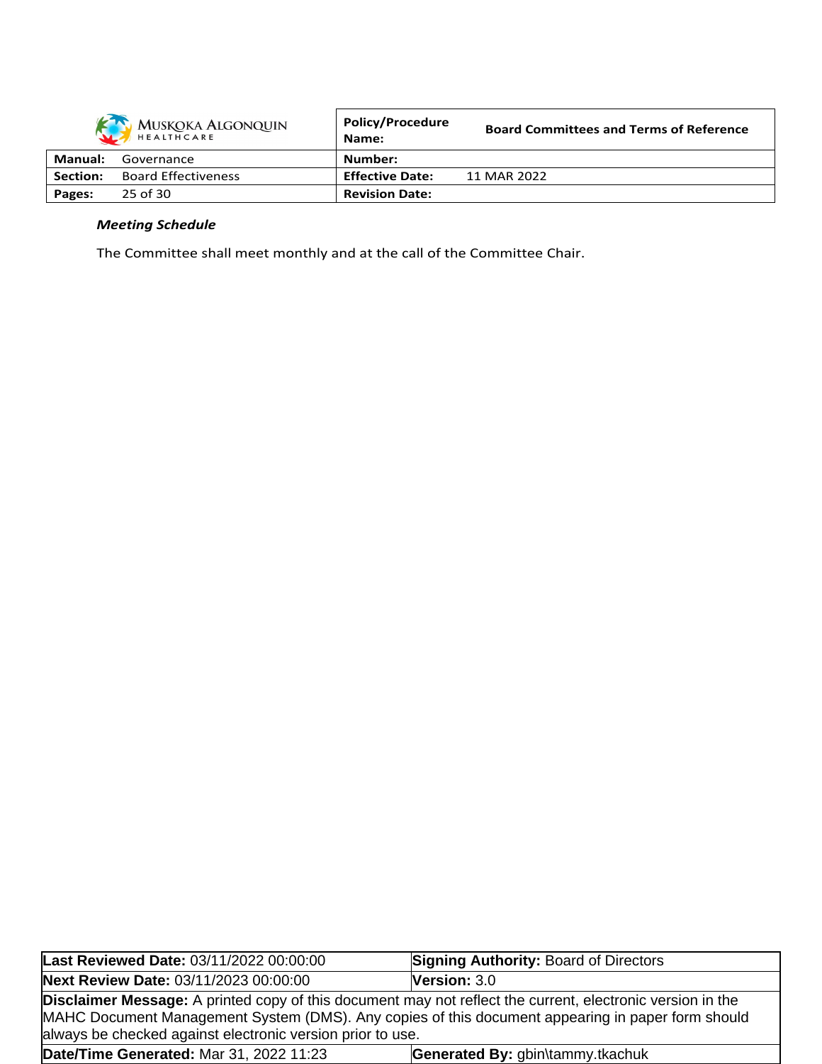|          | MUSKOKA ALGONQUIN          | <b>Policy/Procedure</b><br>Name: | <b>Board Committees and Terms of Reference</b> |
|----------|----------------------------|----------------------------------|------------------------------------------------|
| Manual:  | Governance                 | Number:                          |                                                |
| Section: | <b>Board Effectiveness</b> | <b>Effective Date:</b>           | 11 MAR 2022                                    |
| Pages:   | 25 of 30                   | <b>Revision Date:</b>            |                                                |

# *Meeting Schedule*

The Committee shall meet monthly and at the call of the Committee Chair.

| Last Reviewed Date: 03/11/2022 00:00:00                                                                                                                                         | <b>Signing Authority: Board of Directors</b>                                                      |
|---------------------------------------------------------------------------------------------------------------------------------------------------------------------------------|---------------------------------------------------------------------------------------------------|
| <b>Next Review Date: 03/11/2023 00:00:00</b>                                                                                                                                    | <b>Version:</b> $3.0$                                                                             |
| <b>Disclaimer Message:</b> A printed copy of this document may not reflect the current, electronic version in the<br>always be checked against electronic version prior to use. | MAHC Document Management System (DMS). Any copies of this document appearing in paper form should |
| Date/Time Generated: Mar 31, 2022 11:23                                                                                                                                         | Generated By: gbin\tammy.tkachuk                                                                  |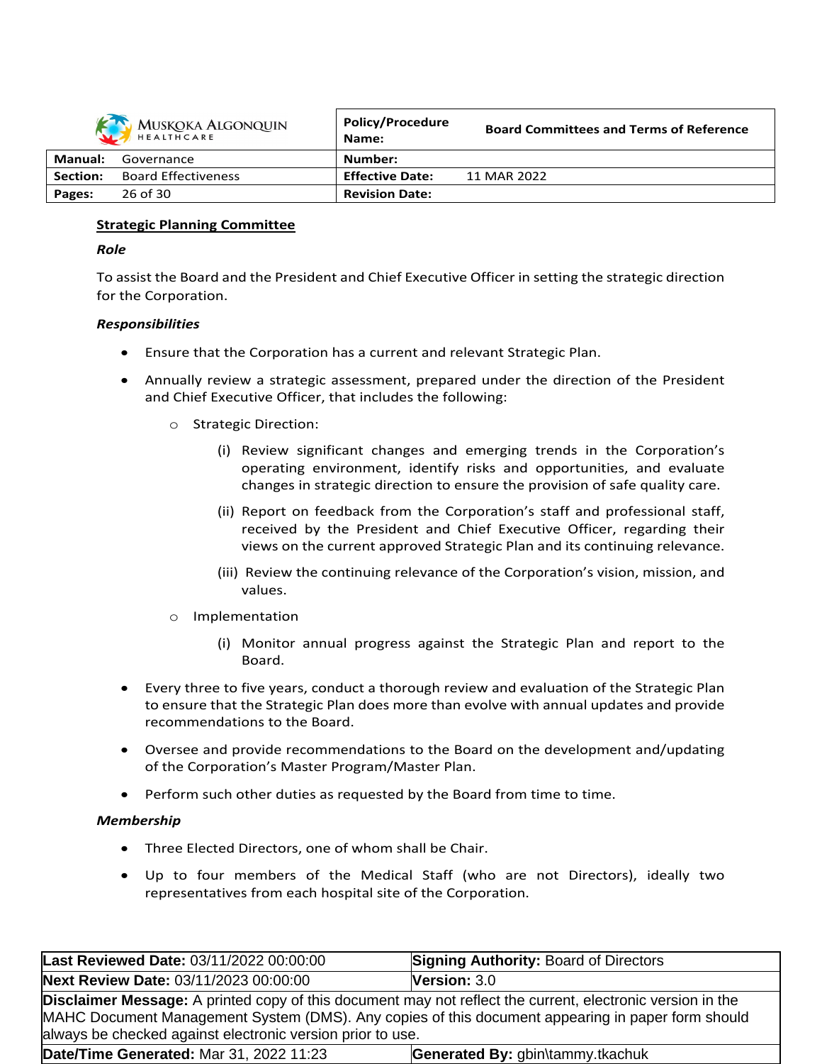

|          | MUSKOKA ALGONQUIN<br>HEALTHCARE | <b>Policy/Procedure</b><br>Name: | <b>Board Committees and Terms of Reference</b> |
|----------|---------------------------------|----------------------------------|------------------------------------------------|
| Manual:  | Governance                      | Number:                          |                                                |
| Section: | <b>Board Effectiveness</b>      | <b>Effective Date:</b>           | 11 MAR 2022                                    |
| Pages:   | 26 of 30                        | <b>Revision Date:</b>            |                                                |

## **Strategic Planning Committee**

### *Role*

To assist the Board and the President and Chief Executive Officer in setting the strategic direction for the Corporation.

## *Responsibilities*

- Ensure that the Corporation has a current and relevant Strategic Plan.
- Annually review a strategic assessment, prepared under the direction of the President and Chief Executive Officer, that includes the following:
	- o Strategic Direction:
		- (i) Review significant changes and emerging trends in the Corporation's operating environment, identify risks and opportunities, and evaluate changes in strategic direction to ensure the provision of safe quality care.
		- (ii) Report on feedback from the Corporation's staff and professional staff, received by the President and Chief Executive Officer, regarding their views on the current approved Strategic Plan and its continuing relevance.
		- (iii) Review the continuing relevance of the Corporation's vision, mission, and values.
	- o Implementation
		- (i) Monitor annual progress against the Strategic Plan and report to the Board.
- Every three to five years, conduct a thorough review and evaluation of the Strategic Plan to ensure that the Strategic Plan does more than evolve with annual updates and provide recommendations to the Board.
- Oversee and provide recommendations to the Board on the development and/updating of the Corporation's Master Program/Master Plan.
- Perform such other duties as requested by the Board from time to time.

### *Membership*

- Three Elected Directors, one of whom shall be Chair.
- Up to four members of the Medical Staff (who are not Directors), ideally two representatives from each hospital site of the Corporation.

| Last Reviewed Date: 03/11/2022 00:00:00                                                                                                                                                                                                                                              | <b>Signing Authority: Board of Directors</b> |
|--------------------------------------------------------------------------------------------------------------------------------------------------------------------------------------------------------------------------------------------------------------------------------------|----------------------------------------------|
| Next Review Date: 03/11/2023 00:00:00                                                                                                                                                                                                                                                | <b>Version: <math>3.0</math></b>             |
| <b>Disclaimer Message:</b> A printed copy of this document may not reflect the current, electronic version in the<br>MAHC Document Management System (DMS). Any copies of this document appearing in paper form should<br>always be checked against electronic version prior to use. |                                              |
| Date/Time Generated: Mar 31, 2022 11:23                                                                                                                                                                                                                                              | Generated By: gbin\tammy.tkachuk             |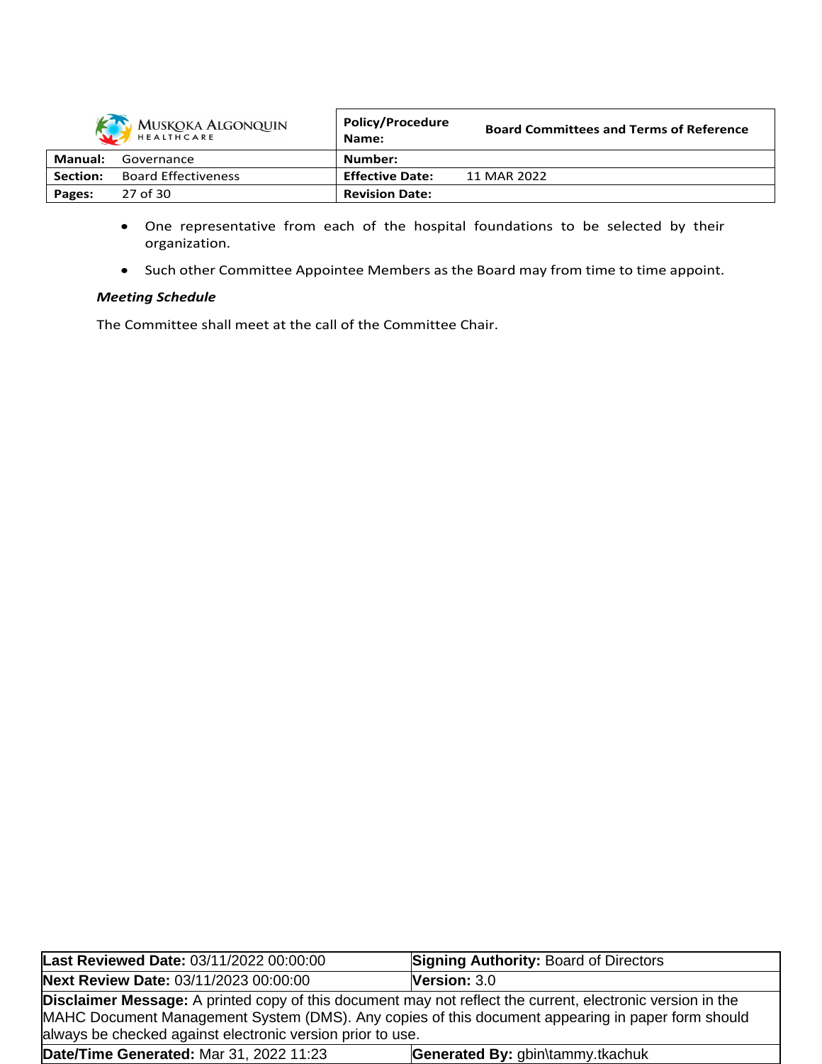

|          | MUSKOKA ALGONQUIN<br>HEALTHCARE | <b>POIICY/Procedure</b><br>Name: | <b>Board Committees and Terms of Reference</b> |
|----------|---------------------------------|----------------------------------|------------------------------------------------|
| Manual:  | Governance                      | Number:                          |                                                |
| Section: | <b>Board Effectiveness</b>      | <b>Effective Date:</b>           | 11 MAR 2022                                    |
| Pages:   | 27 of 30                        | <b>Revision Date:</b>            |                                                |

- One representative from each of the hospital foundations to be selected by their organization.
- Such other Committee Appointee Members as the Board may from time to time appoint.

# *Meeting Schedule*

The Committee shall meet at the call of the Committee Chair.

| Last Reviewed Date: 03/11/2022 00:00:00                                                                                                                                                                                                                                       | <b>Signing Authority: Board of Directors</b> |
|-------------------------------------------------------------------------------------------------------------------------------------------------------------------------------------------------------------------------------------------------------------------------------|----------------------------------------------|
| Next Review Date: 03/11/2023 00:00:00                                                                                                                                                                                                                                         | Version: 3.0                                 |
| Disclaimer Message: A printed copy of this document may not reflect the current, electronic version in the<br>MAHC Document Management System (DMS). Any copies of this document appearing in paper form should<br>always be checked against electronic version prior to use. |                                              |
| Date/Time Generated: Mar 31, 2022 11:23                                                                                                                                                                                                                                       | Generated By: gbin\tammy.tkachuk             |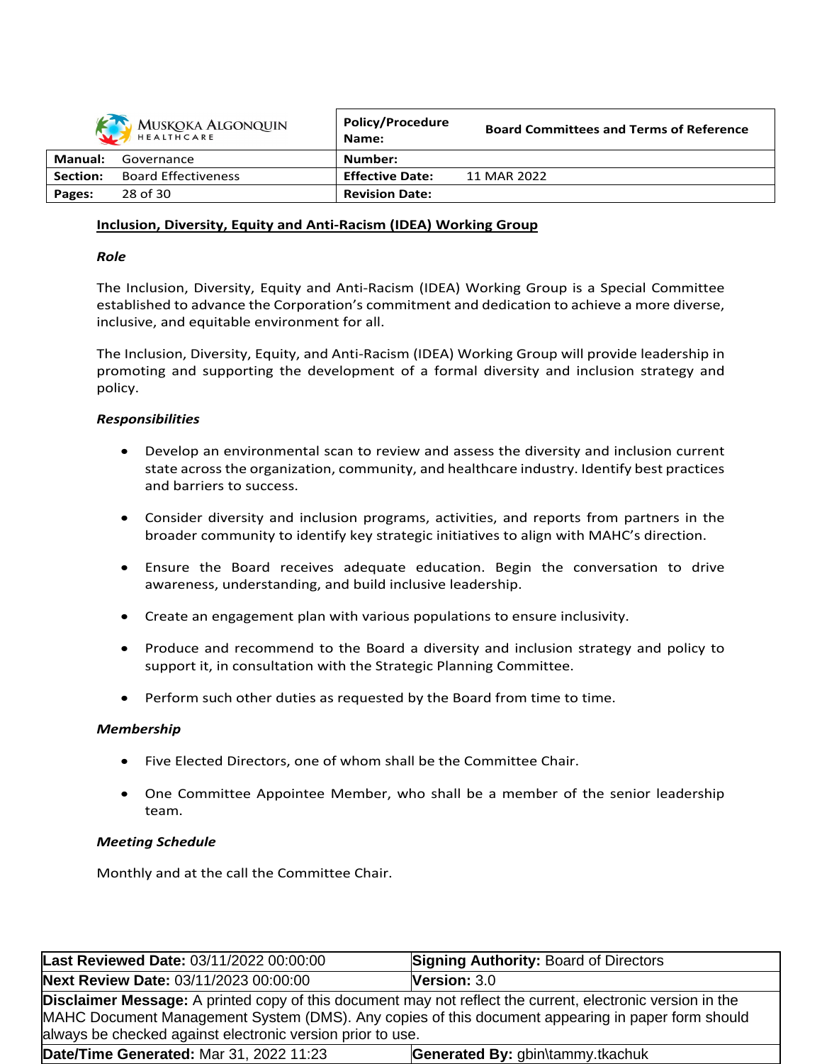|          | MUSKOKA ALGONQUIN          | <b>Policy/Procedure</b><br>Name: | <b>Board Committees and Terms of Reference</b> |
|----------|----------------------------|----------------------------------|------------------------------------------------|
| Manual:  | Governance                 | Number:                          |                                                |
| Section: | <b>Board Effectiveness</b> | <b>Effective Date:</b>           | 11 MAR 2022                                    |
| Pages:   | 28 of 30                   | <b>Revision Date:</b>            |                                                |

### **Inclusion, Diversity, Equity and Anti-Racism (IDEA) Working Group**

### *Role*

The Inclusion, Diversity, Equity and Anti-Racism (IDEA) Working Group is a Special Committee established to advance the Corporation's commitment and dedication to achieve a more diverse, inclusive, and equitable environment for all.

The Inclusion, Diversity, Equity, and Anti-Racism (IDEA) Working Group will provide leadership in promoting and supporting the development of a formal diversity and inclusion strategy and policy.

## *Responsibilities*

- Develop an environmental scan to review and assess the diversity and inclusion current state acrossthe organization, community, and healthcare industry. Identify best practices and barriers to success.
- Consider diversity and inclusion programs, activities, and reports from partners in the broader community to identify key strategic initiatives to align with MAHC's direction.
- Ensure the Board receives adequate education. Begin the conversation to drive awareness, understanding, and build inclusive leadership.
- Create an engagement plan with various populations to ensure inclusivity.
- Produce and recommend to the Board a diversity and inclusion strategy and policy to support it, in consultation with the Strategic Planning Committee.
- Perform such other duties as requested by the Board from time to time.

### *Membership*

- Five Elected Directors, one of whom shall be the Committee Chair.
- One Committee Appointee Member, who shall be a member of the senior leadership team.

### *Meeting Schedule*

Monthly and at the call the Committee Chair.

| Last Reviewed Date: 03/11/2022 00:00:00                                                                                                                                                                                                                                              | Signing Authority: Board of Directors |
|--------------------------------------------------------------------------------------------------------------------------------------------------------------------------------------------------------------------------------------------------------------------------------------|---------------------------------------|
| Next Review Date: 03/11/2023 00:00:00                                                                                                                                                                                                                                                | <b>Version: <math>3.0</math></b>      |
| <b>Disclaimer Message:</b> A printed copy of this document may not reflect the current, electronic version in the<br>MAHC Document Management System (DMS). Any copies of this document appearing in paper form should<br>always be checked against electronic version prior to use. |                                       |
| Date/Time Generated: Mar 31, 2022 11:23                                                                                                                                                                                                                                              | Generated By: gbin\tammy.tkachuk      |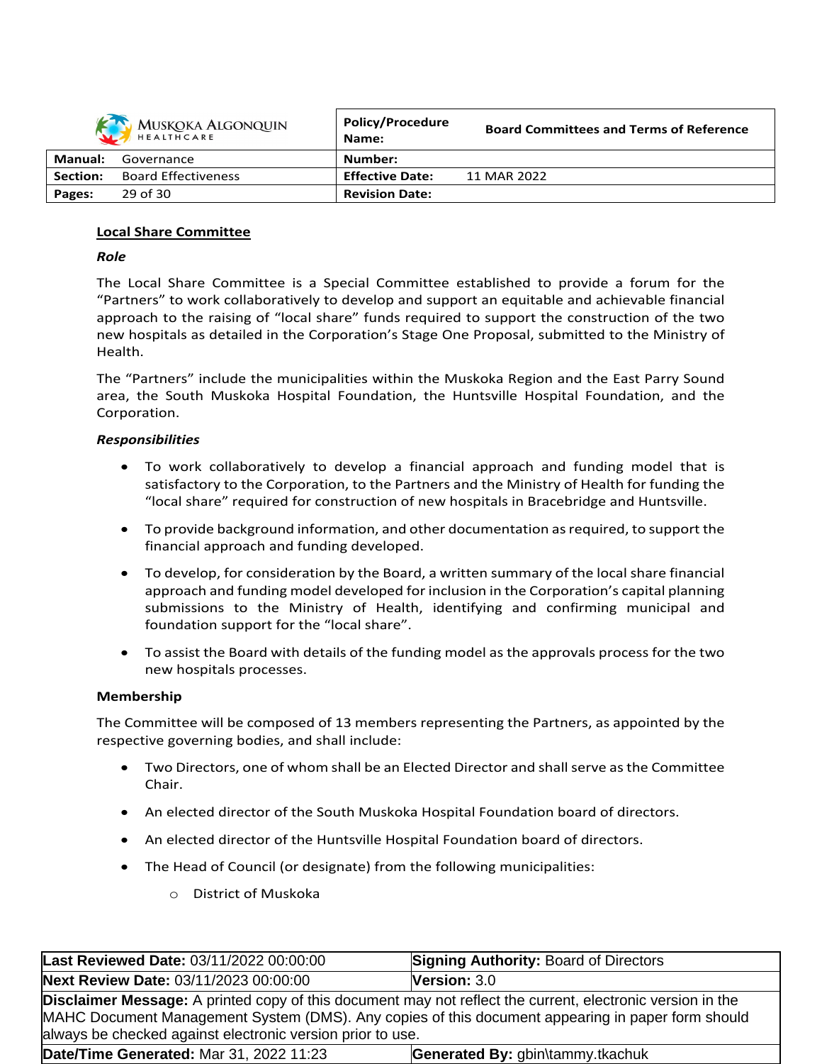|          | MUSKOKA ALGONQUIN          | <b>Policy/Procedure</b><br>Name: | <b>Board Committees and Terms of Reference</b> |
|----------|----------------------------|----------------------------------|------------------------------------------------|
| Manual:  | Governance                 | Number:                          |                                                |
| Section: | <b>Board Effectiveness</b> | <b>Effective Date:</b>           | 11 MAR 2022                                    |
| Pages:   | 29 of 30                   | <b>Revision Date:</b>            |                                                |

# **Local Share Committee**

## *Role*

The Local Share Committee is a Special Committee established to provide a forum for the "Partners" to work collaboratively to develop and support an equitable and achievable financial approach to the raising of "local share" funds required to support the construction of the two new hospitals as detailed in the Corporation's Stage One Proposal, submitted to the Ministry of Health.

The "Partners" include the municipalities within the Muskoka Region and the East Parry Sound area, the South Muskoka Hospital Foundation, the Huntsville Hospital Foundation, and the Corporation.

### *Responsibilities*

- To work collaboratively to develop a financial approach and funding model that is satisfactory to the Corporation, to the Partners and the Ministry of Health for funding the "local share" required for construction of new hospitals in Bracebridge and Huntsville.
- To provide background information, and other documentation as required, to support the financial approach and funding developed.
- To develop, for consideration by the Board, a written summary of the local share financial approach and funding model developed for inclusion in the Corporation's capital planning submissions to the Ministry of Health, identifying and confirming municipal and foundation support for the "local share".
- To assist the Board with details of the funding model as the approvals process for the two new hospitals processes.

### **Membership**

The Committee will be composed of 13 members representing the Partners, as appointed by the respective governing bodies, and shall include:

- Two Directors, one of whom shall be an Elected Director and shall serve as the Committee Chair.
- An elected director of the South Muskoka Hospital Foundation board of directors.
- An elected director of the Huntsville Hospital Foundation board of directors.
- The Head of Council (or designate) from the following municipalities:
	- o District of Muskoka

| Last Reviewed Date: 03/11/2022 00:00:00                                                                                                                                                                                                                                              | <b>Signing Authority: Board of Directors</b> |
|--------------------------------------------------------------------------------------------------------------------------------------------------------------------------------------------------------------------------------------------------------------------------------------|----------------------------------------------|
| Next Review Date: 03/11/2023 00:00:00                                                                                                                                                                                                                                                | <b>Version: <math>3.0</math></b>             |
| <b>Disclaimer Message:</b> A printed copy of this document may not reflect the current, electronic version in the<br>MAHC Document Management System (DMS). Any copies of this document appearing in paper form should<br>always be checked against electronic version prior to use. |                                              |
| Date/Time Generated: Mar 31, 2022 11:23                                                                                                                                                                                                                                              | Generated By: gbin\tammy.tkachuk             |